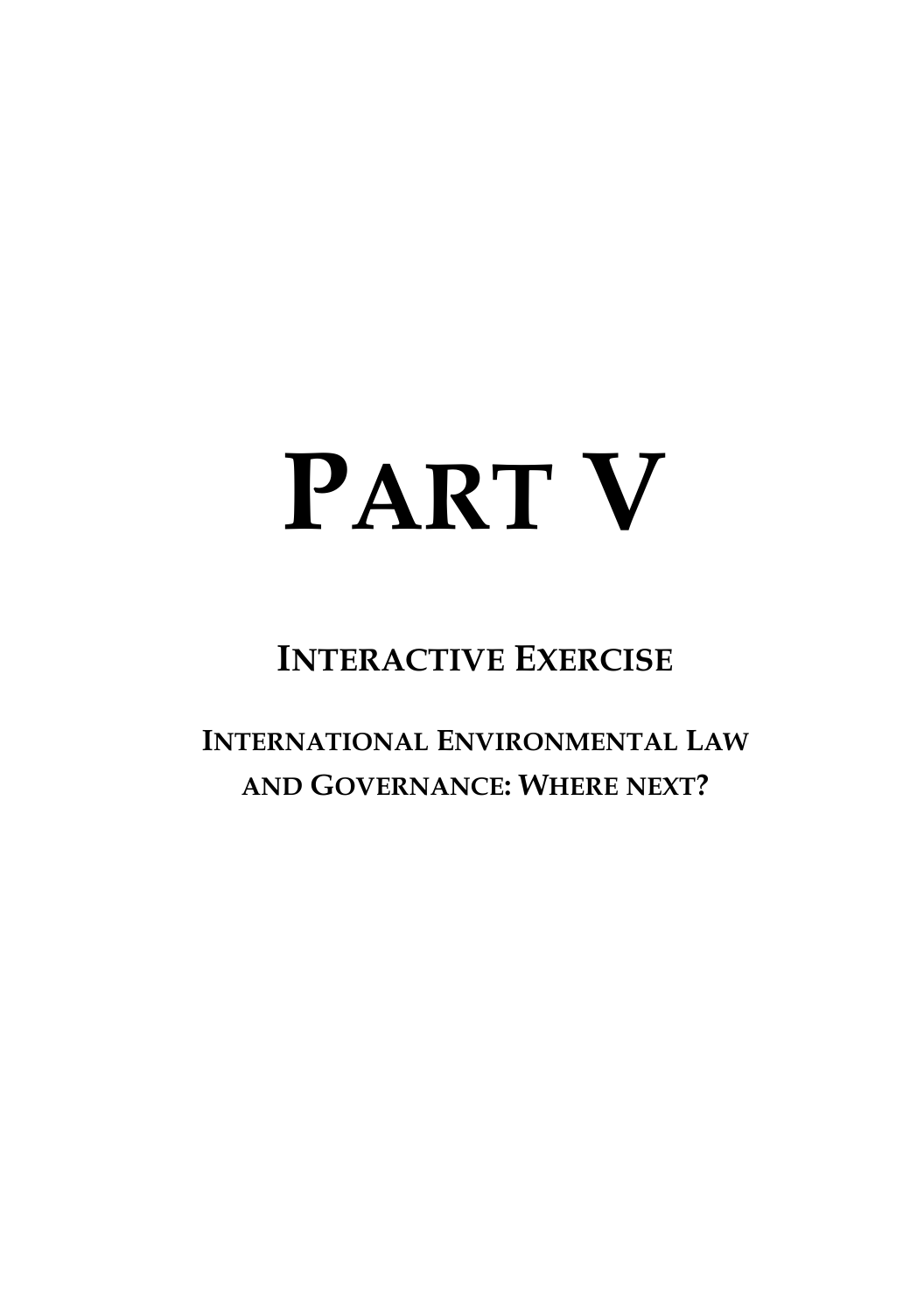# **PART V**

# **INTERACTIVE EXERCISE**

**INTERNATIONAL ENVIRONMENTAL LAW AND GOVERNANCE: WHERE NEXT?**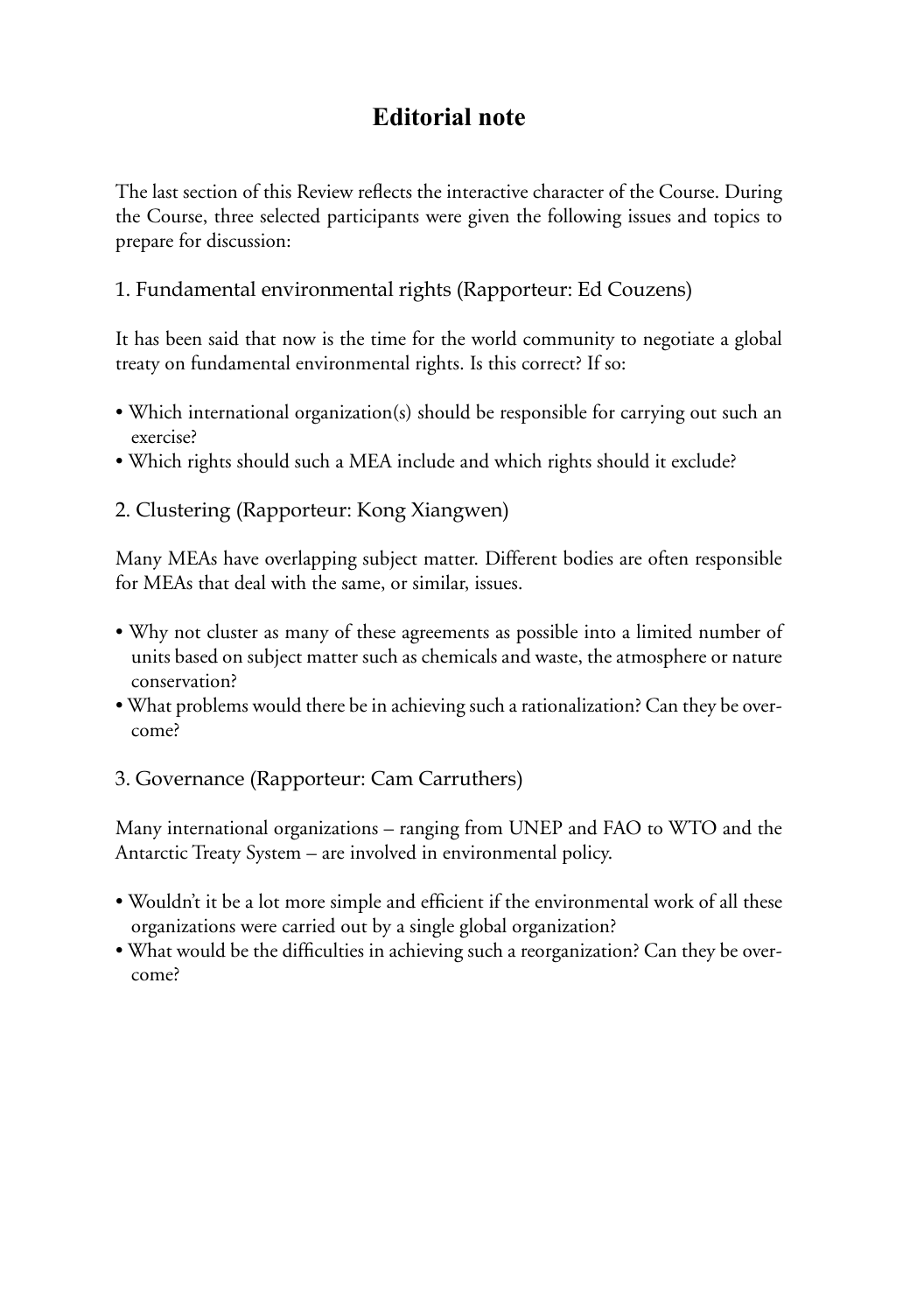#### **Editorial note**

The last section of this Review reflects the interactive character of the Course. During the Course, three selected participants were given the following issues and topics to prepare for discussion:

#### 1. Fundamental environmental rights (Rapporteur: Ed Couzens)

It has been said that now is the time for the world community to negotiate a global treaty on fundamental environmental rights. Is this correct? If so:

- Which international organization(s) should be responsible for carrying out such an exercise?
- Which rights should such a MEA include and which rights should it exclude?

#### 2. Clustering (Rapporteur: Kong Xiangwen)

Many MEAs have overlapping subject matter. Different bodies are often responsible for MEAs that deal with the same, or similar, issues.

- Why not cluster as many of these agreements as possible into a limited number of units based on subject matter such as chemicals and waste, the atmosphere or nature conservation?
- What problems would there be in achieving such a rationalization? Can they be overcome?

#### 3. Governance (Rapporteur: Cam Carruthers)

Many international organizations – ranging from UNEP and FAO to WTO and the Antarctic Treaty System – are involved in environmental policy.

- Wouldn't it be a lot more simple and efficient if the environmental work of all these organizations were carried out by a single global organization?
- What would be the difficulties in achieving such a reorganization? Can they be overcome?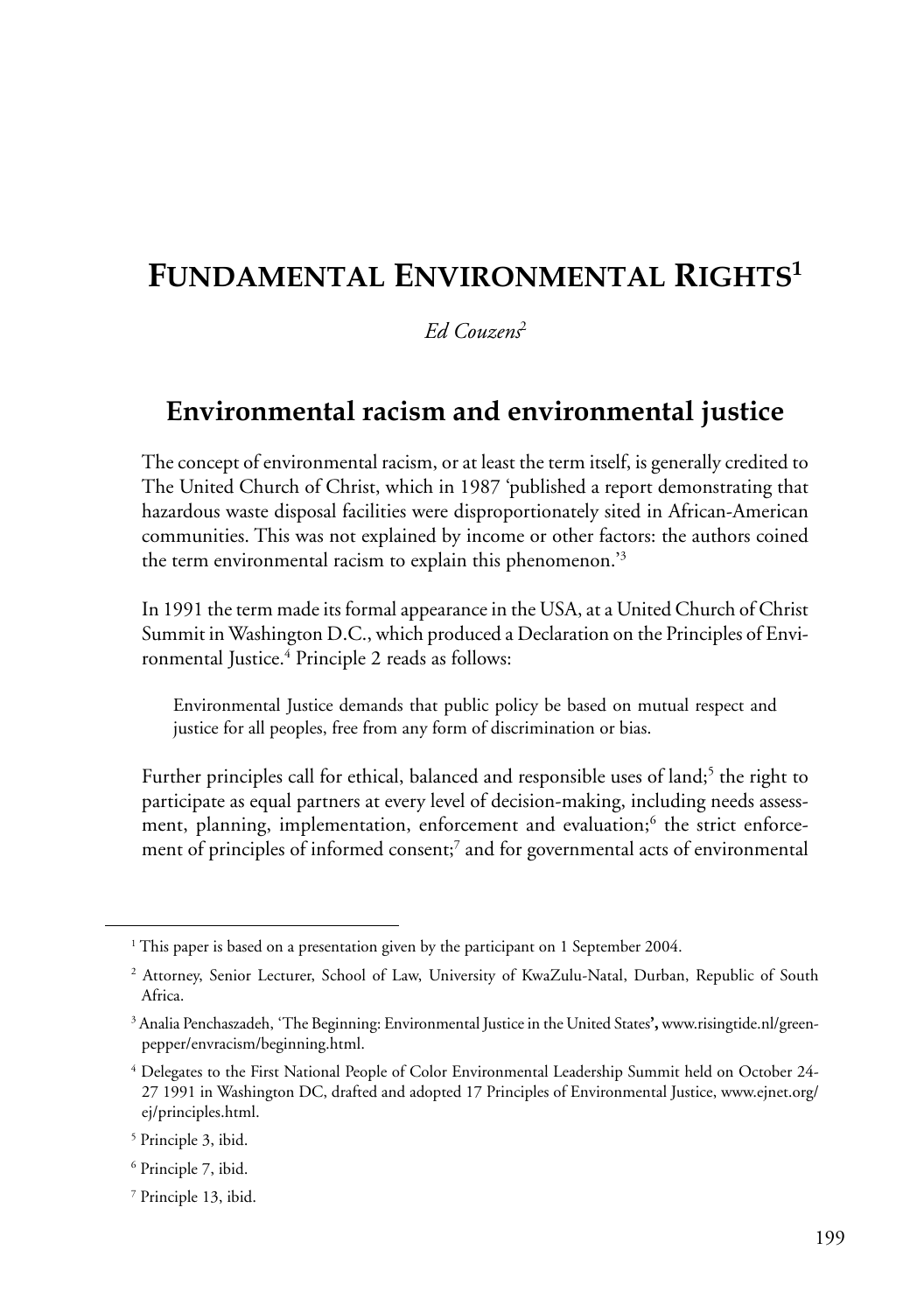# **FUNDAMENTAL ENVIRONMENTAL RIGHTS1**

*Ed Couzens*<sup>2</sup>

#### **Environmental racism and environmental justice**

The concept of environmental racism, or at least the term itself, is generally credited to The United Church of Christ, which in 1987 'published a report demonstrating that hazardous waste disposal facilities were disproportionately sited in African-American communities. This was not explained by income or other factors: the authors coined the term environmental racism to explain this phenomenon.'3

In 1991 the term made its formal appearance in the USA, at a United Church of Christ Summit in Washington D.C., which produced a Declaration on the Principles of Environmental Justice.<sup>4</sup> Principle 2 reads as follows:

Environmental Justice demands that public policy be based on mutual respect and justice for all peoples, free from any form of discrimination or bias.

Further principles call for ethical, balanced and responsible uses of land;<sup>5</sup> the right to participate as equal partners at every level of decision-making, including needs assessment, planning, implementation, enforcement and evaluation;<sup>6</sup> the strict enforcement of principles of informed consent;<sup>7</sup> and for governmental acts of environmental

<sup>&</sup>lt;sup>1</sup> This paper is based on a presentation given by the participant on 1 September 2004.

<sup>2</sup> Attorney, Senior Lecturer, School of Law, University of KwaZulu-Natal, Durban, Republic of South Africa.

<sup>3</sup> Analia Penchaszadeh, 'The Beginning: Environmental Justice in the United States**',** www.risingtide.nl/greenpepper/envracism/beginning.html.

<sup>4</sup> Delegates to the First National People of Color Environmental Leadership Summit held on October 24- 27 1991 in Washington DC, drafted and adopted 17 Principles of Environmental Justice, www.ejnet.org/ ej/principles.html.

<sup>5</sup> Principle 3, ibid.

<sup>6</sup> Principle 7, ibid.

<sup>7</sup> Principle 13, ibid.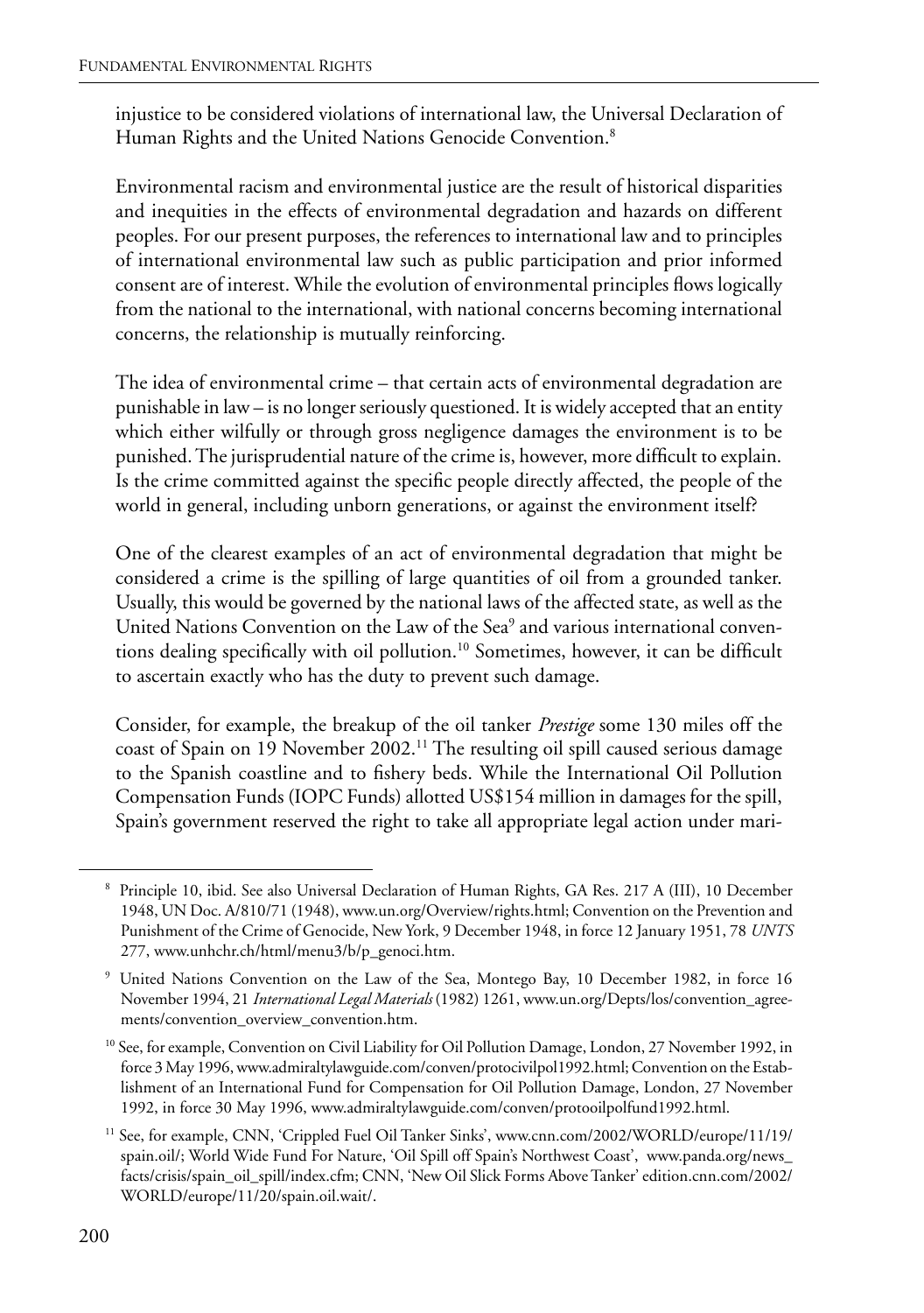injustice to be considered violations of international law, the Universal Declaration of Human Rights and the United Nations Genocide Convention.<sup>8</sup>

Environmental racism and environmental justice are the result of historical disparities and inequities in the effects of environmental degradation and hazards on different peoples. For our present purposes, the references to international law and to principles of international environmental law such as public participation and prior informed consent are of interest. While the evolution of environmental principles flows logically from the national to the international, with national concerns becoming international concerns, the relationship is mutually reinforcing.

The idea of environmental crime – that certain acts of environmental degradation are punishable in law – is no longer seriously questioned. It is widely accepted that an entity which either wilfully or through gross negligence damages the environment is to be punished. The jurisprudential nature of the crime is, however, more difficult to explain. Is the crime committed against the specific people directly affected, the people of the world in general, including unborn generations, or against the environment itself?

One of the clearest examples of an act of environmental degradation that might be considered a crime is the spilling of large quantities of oil from a grounded tanker. Usually, this would be governed by the national laws of the affected state, as well as the United Nations Convention on the Law of the Sea<sup>9</sup> and various international conventions dealing specifically with oil pollution.10 Sometimes, however, it can be difficult to ascertain exactly who has the duty to prevent such damage.

Consider, for example, the breakup of the oil tanker *Prestige* some 130 miles off the coast of Spain on 19 November 2002.11 The resulting oil spill caused serious damage to the Spanish coastline and to fishery beds. While the International Oil Pollution Compensation Funds (IOPC Funds) allotted US\$154 million in damages for the spill, Spain's government reserved the right to take all appropriate legal action under mari-

<sup>8</sup> Principle 10, ibid. See also Universal Declaration of Human Rights, GA Res. 217 A (III), 10 December 1948, UN Doc. A/810/71 (1948), www.un.org/Overview/rights.html; Convention on the Prevention and Punishment of the Crime of Genocide, New York, 9 December 1948, in force 12 January 1951, 78 *UNTS* 277, www.unhchr.ch/html/menu3/b/p\_genoci.htm.

<sup>9</sup> United Nations Convention on the Law of the Sea, Montego Bay, 10 December 1982, in force 16 November 1994, 21 *International Legal Materials* (1982) 1261, www.un.org/Depts/los/convention\_agreements/convention\_overview\_convention.htm.

<sup>&</sup>lt;sup>10</sup> See, for example, Convention on Civil Liability for Oil Pollution Damage, London, 27 November 1992, in force 3 May 1996, www.admiraltylawguide.com/conven/protocivilpol1992.html; Convention on the Establishment of an International Fund for Compensation for Oil Pollution Damage, London, 27 November 1992, in force 30 May 1996, www.admiraltylawguide.com/conven/protooilpolfund1992.html.

<sup>11</sup> See, for example, CNN, 'Crippled Fuel Oil Tanker Sinks', www.cnn.com/2002/WORLD/europe/11/19/ spain.oil/; World Wide Fund For Nature, 'Oil Spill off Spain's Northwest Coast', www.panda.org/news\_ facts/crisis/spain\_oil\_spill/index.cfm; CNN, 'New Oil Slick Forms Above Tanker' edition.cnn.com/2002/ WORLD/europe/11/20/spain.oil.wait/.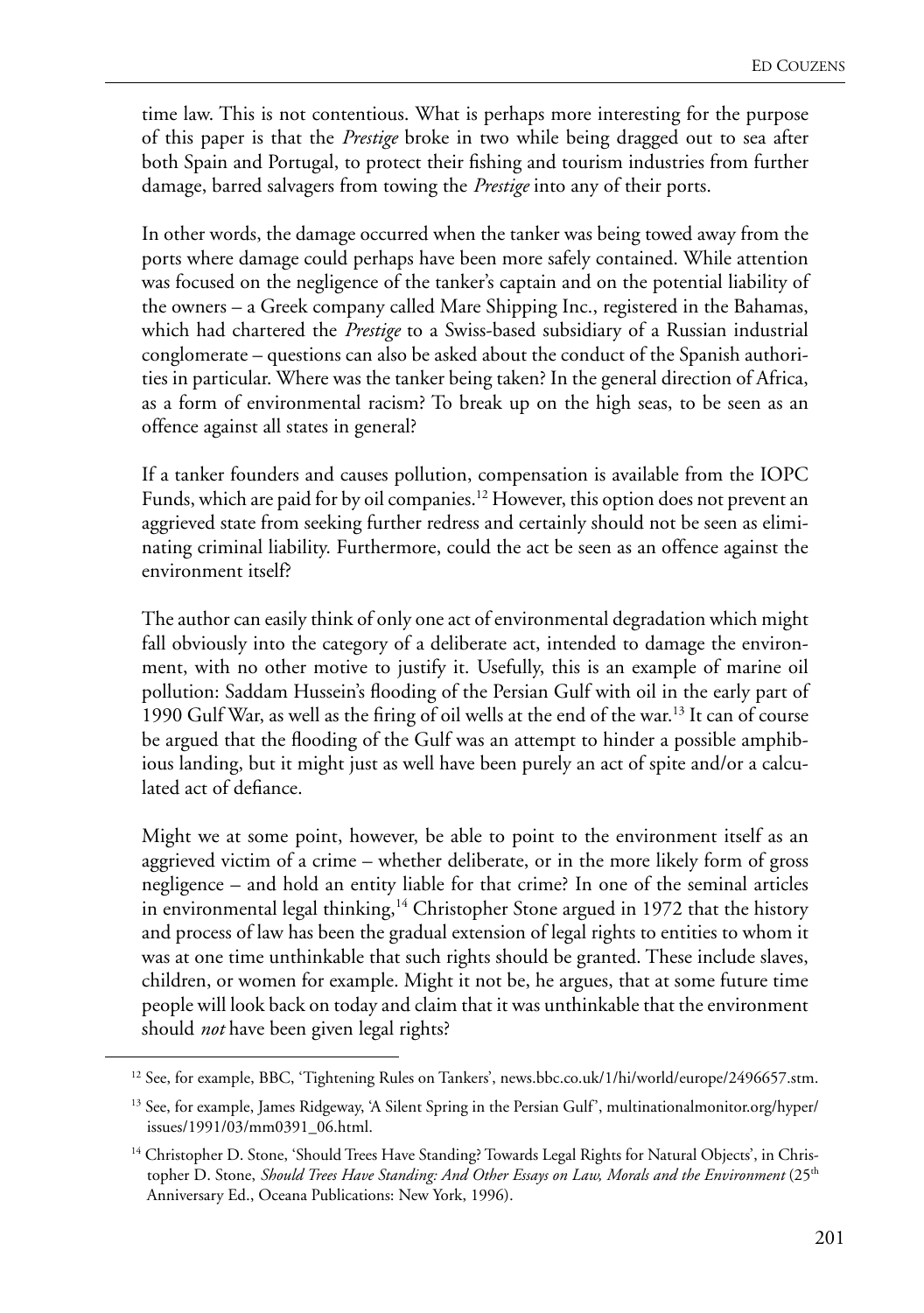time law. This is not contentious. What is perhaps more interesting for the purpose of this paper is that the *Prestige* broke in two while being dragged out to sea after both Spain and Portugal, to protect their fishing and tourism industries from further damage, barred salvagers from towing the *Prestige* into any of their ports.

In other words, the damage occurred when the tanker was being towed away from the ports where damage could perhaps have been more safely contained. While attention was focused on the negligence of the tanker's captain and on the potential liability of the owners – a Greek company called Mare Shipping Inc., registered in the Bahamas, which had chartered the *Prestige* to a Swiss-based subsidiary of a Russian industrial conglomerate – questions can also be asked about the conduct of the Spanish authorities in particular. Where was the tanker being taken? In the general direction of Africa, as a form of environmental racism? To break up on the high seas, to be seen as an offence against all states in general?

If a tanker founders and causes pollution, compensation is available from the IOPC Funds, which are paid for by oil companies.<sup>12</sup> However, this option does not prevent an aggrieved state from seeking further redress and certainly should not be seen as eliminating criminal liability. Furthermore, could the act be seen as an offence against the environment itself?

The author can easily think of only one act of environmental degradation which might fall obviously into the category of a deliberate act, intended to damage the environment, with no other motive to justify it. Usefully, this is an example of marine oil pollution: Saddam Hussein's flooding of the Persian Gulf with oil in the early part of 1990 Gulf War, as well as the firing of oil wells at the end of the war.13 It can of course be argued that the flooding of the Gulf was an attempt to hinder a possible amphibious landing, but it might just as well have been purely an act of spite and/or a calculated act of defiance.

Might we at some point, however, be able to point to the environment itself as an aggrieved victim of a crime – whether deliberate, or in the more likely form of gross negligence – and hold an entity liable for that crime? In one of the seminal articles in environmental legal thinking,<sup>14</sup> Christopher Stone argued in 1972 that the history and process of law has been the gradual extension of legal rights to entities to whom it was at one time unthinkable that such rights should be granted. These include slaves, children, or women for example. Might it not be, he argues, that at some future time people will look back on today and claim that it was unthinkable that the environment should *not* have been given legal rights?

<sup>&</sup>lt;sup>12</sup> See, for example, BBC, 'Tightening Rules on Tankers', news.bbc.co.uk/1/hi/world/europe/2496657.stm.

<sup>&</sup>lt;sup>13</sup> See, for example, James Ridgeway, 'A Silent Spring in the Persian Gulf', multinationalmonitor.org/hyper/ issues/1991/03/mm0391\_06.html.

<sup>&</sup>lt;sup>14</sup> Christopher D. Stone, 'Should Trees Have Standing? Towards Legal Rights for Natural Objects', in Christopher D. Stone, *Should Trees Have Standing: And Other Essays on Law, Morals and the Environment* (25<sup>th</sup> Anniversary Ed., Oceana Publications: New York, 1996).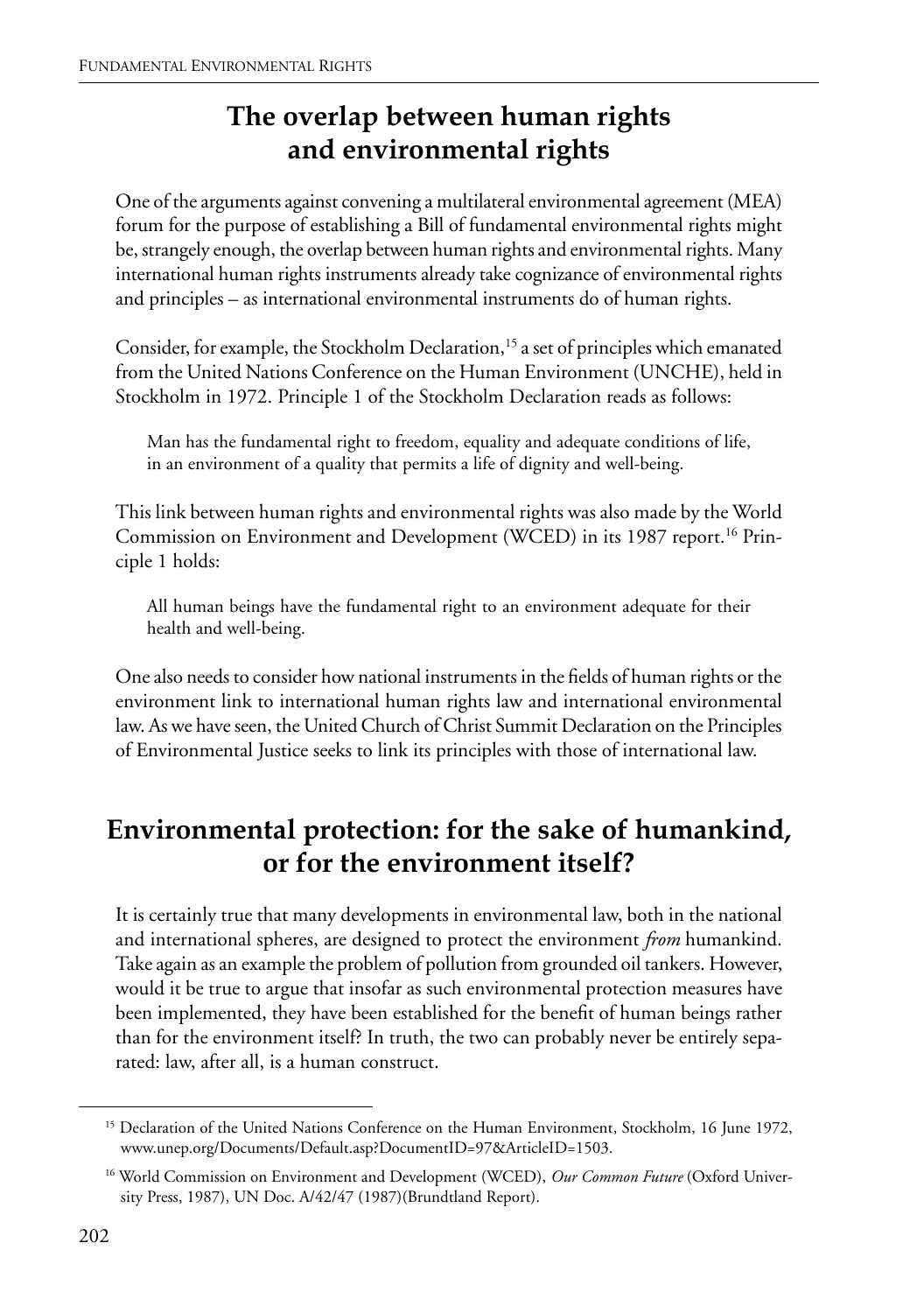## **The overlap between human rights and environmental rights**

One of the arguments against convening a multilateral environmental agreement (MEA) forum for the purpose of establishing a Bill of fundamental environmental rights might be, strangely enough, the overlap between human rights and environmental rights. Many international human rights instruments already take cognizance of environmental rights and principles – as international environmental instruments do of human rights.

Consider, for example, the Stockholm Declaration,<sup>15</sup> a set of principles which emanated from the United Nations Conference on the Human Environment (UNCHE), held in Stockholm in 1972. Principle 1 of the Stockholm Declaration reads as follows:

Man has the fundamental right to freedom, equality and adequate conditions of life, in an environment of a quality that permits a life of dignity and well-being.

This link between human rights and environmental rights was also made by the World Commission on Environment and Development (WCED) in its 1987 report.<sup>16</sup> Principle 1 holds:

All human beings have the fundamental right to an environment adequate for their health and well-being.

One also needs to consider how national instruments in the fields of human rights or the environment link to international human rights law and international environmental law. As we have seen, the United Church of Christ Summit Declaration on the Principles of Environmental Justice seeks to link its principles with those of international law.

## **Environmental protection: for the sake of humankind, or for the environment itself?**

It is certainly true that many developments in environmental law, both in the national and international spheres, are designed to protect the environment *from* humankind. Take again as an example the problem of pollution from grounded oil tankers. However, would it be true to argue that insofar as such environmental protection measures have been implemented, they have been established for the benefit of human beings rather than for the environment itself? In truth, the two can probably never be entirely separated: law, after all, is a human construct.

<sup>&</sup>lt;sup>15</sup> Declaration of the United Nations Conference on the Human Environment, Stockholm, 16 June 1972, www.unep.org/Documents/Default.asp?DocumentID=97&ArticleID=1503.

<sup>&</sup>lt;sup>16</sup> World Commission on Environment and Development (WCED), Our Common Future (Oxford University Press, 1987), UN Doc. A/42/47 (1987)(Brundtland Report).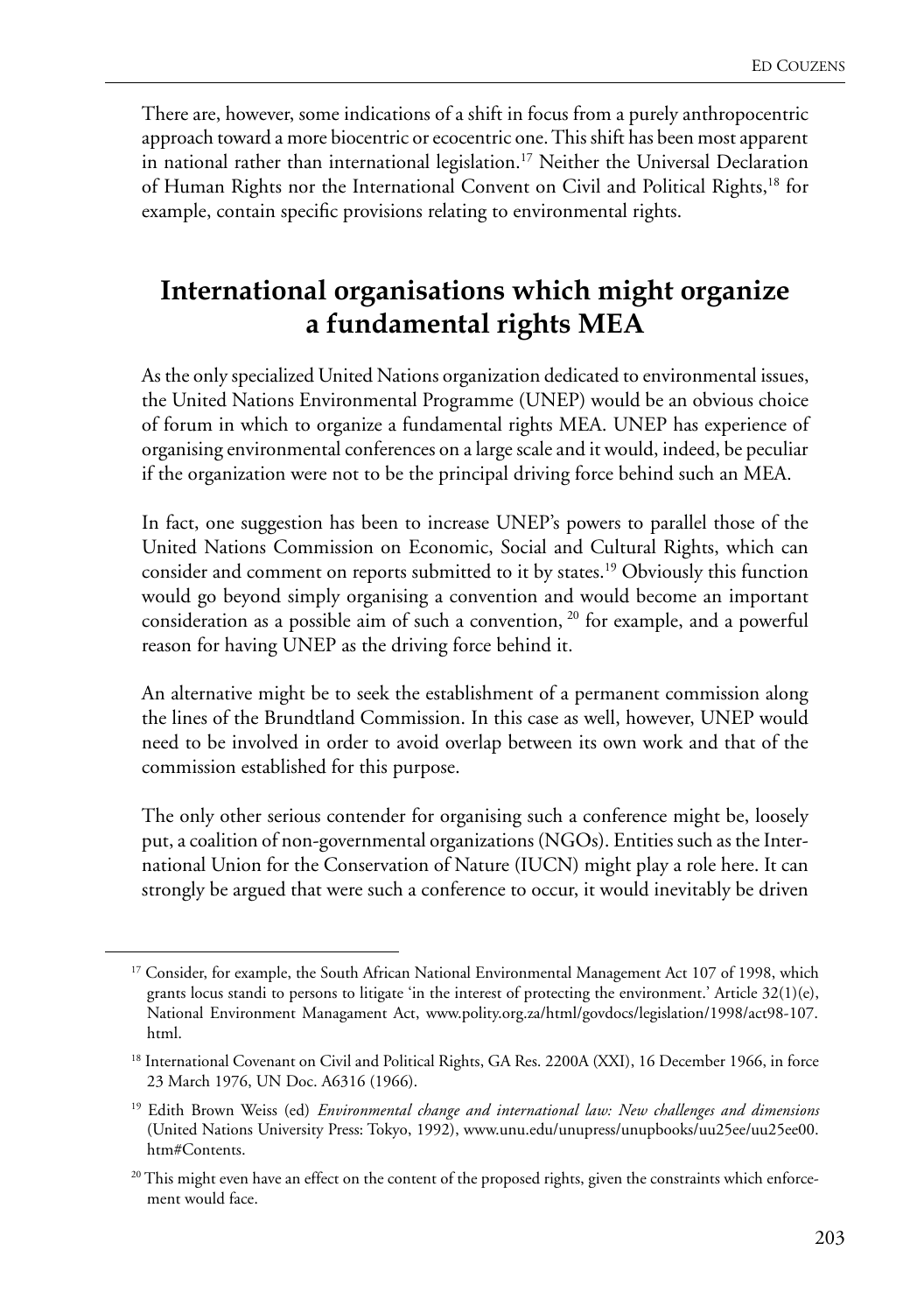There are, however, some indications of a shift in focus from a purely anthropocentric approach toward a more biocentric or ecocentric one. This shift has been most apparent in national rather than international legislation.<sup>17</sup> Neither the Universal Declaration of Human Rights nor the International Convent on Civil and Political Rights,18 for example, contain specific provisions relating to environmental rights.

#### **International organisations which might organize a fundamental rights MEA**

As the only specialized United Nations organization dedicated to environmental issues, the United Nations Environmental Programme (UNEP) would be an obvious choice of forum in which to organize a fundamental rights MEA. UNEP has experience of organising environmental conferences on a large scale and it would, indeed, be peculiar if the organization were not to be the principal driving force behind such an MEA.

In fact, one suggestion has been to increase UNEP's powers to parallel those of the United Nations Commission on Economic, Social and Cultural Rights, which can consider and comment on reports submitted to it by states.19 Obviously this function would go beyond simply organising a convention and would become an important consideration as a possible aim of such a convention, <sup>20</sup> for example, and a powerful reason for having UNEP as the driving force behind it.

An alternative might be to seek the establishment of a permanent commission along the lines of the Brundtland Commission. In this case as well, however, UNEP would need to be involved in order to avoid overlap between its own work and that of the commission established for this purpose.

The only other serious contender for organising such a conference might be, loosely put, a coalition of non-governmental organizations (NGOs). Entities such as the International Union for the Conservation of Nature (IUCN) might play a role here. It can strongly be argued that were such a conference to occur, it would inevitably be driven

<sup>&</sup>lt;sup>17</sup> Consider, for example, the South African National Environmental Management Act 107 of 1998, which grants locus standi to persons to litigate 'in the interest of protecting the environment.' Article 32(1)(e), National Environment Managament Act, www.polity.org.za/html/govdocs/legislation/1998/act98-107. html.

<sup>&</sup>lt;sup>18</sup> International Covenant on Civil and Political Rights, GA Res. 2200A (XXI), 16 December 1966, in force 23 March 1976, UN Doc. A6316 (1966).

<sup>19</sup> Edith Brown Weiss (ed) *Environmental change and international law: New challenges and dimensions* (United Nations University Press: Tokyo, 1992), www.unu.edu/unupress/unupbooks/uu25ee/uu25ee00. htm#Contents.

<sup>&</sup>lt;sup>20</sup> This might even have an effect on the content of the proposed rights, given the constraints which enforcement would face.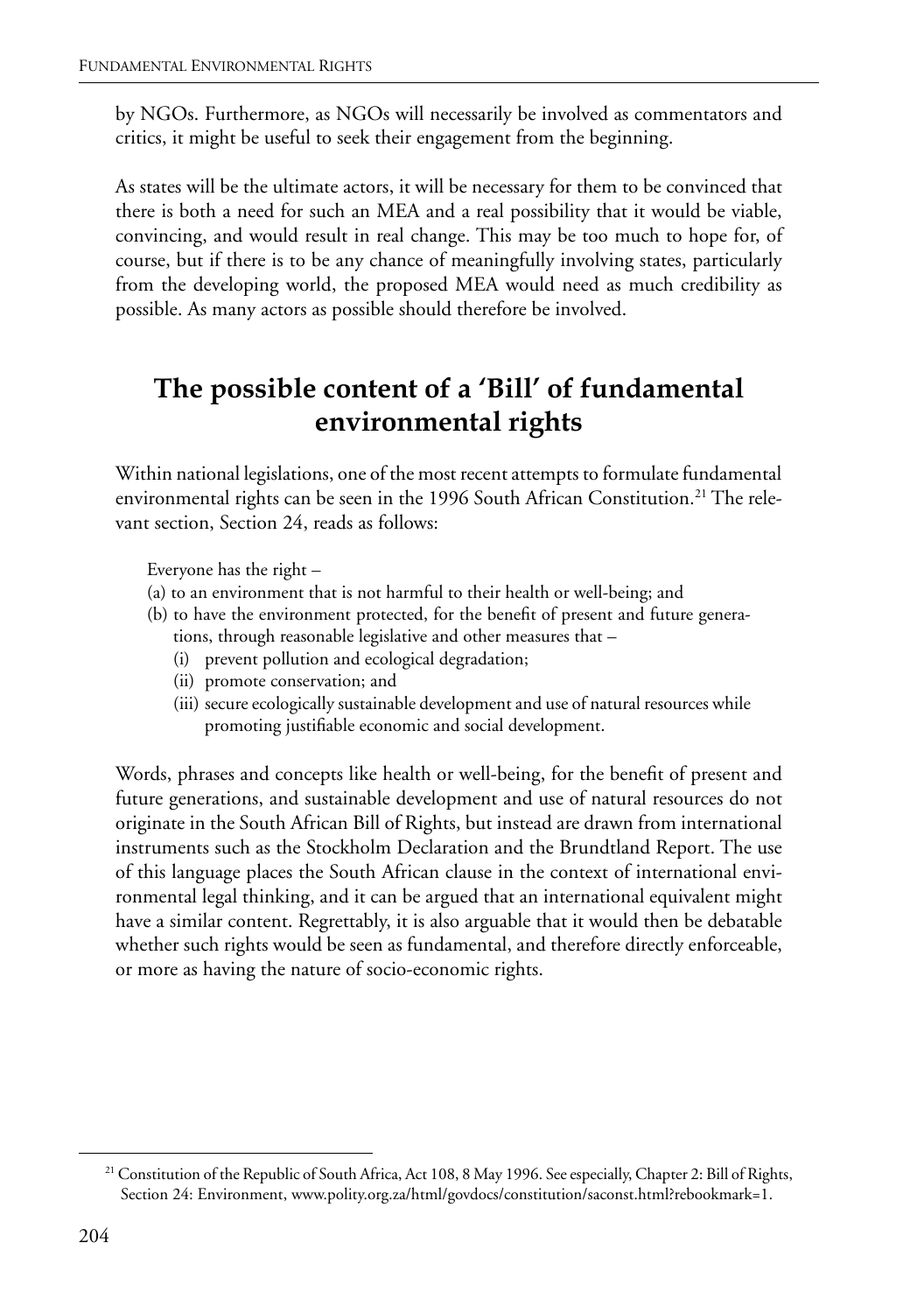by NGOs. Furthermore, as NGOs will necessarily be involved as commentators and critics, it might be useful to seek their engagement from the beginning.

As states will be the ultimate actors, it will be necessary for them to be convinced that there is both a need for such an MEA and a real possibility that it would be viable, convincing, and would result in real change. This may be too much to hope for, of course, but if there is to be any chance of meaningfully involving states, particularly from the developing world, the proposed MEA would need as much credibility as possible. As many actors as possible should therefore be involved.

## **The possible content of a 'Bill' of fundamental environmental rights**

Within national legislations, one of the most recent attempts to formulate fundamental environmental rights can be seen in the 1996 South African Constitution.<sup>21</sup> The relevant section, Section 24, reads as follows:

Everyone has the right –

- (a) to an environment that is not harmful to their health or well-being; and
- (b) to have the environment protected, for the benefit of present and future generations, through reasonable legislative and other measures that –
	- (i) prevent pollution and ecological degradation;
	- (ii) promote conservation; and
	- (iii) secure ecologically sustainable development and use of natural resources while promoting justifiable economic and social development.

Words, phrases and concepts like health or well-being, for the benefit of present and future generations, and sustainable development and use of natural resources do not originate in the South African Bill of Rights, but instead are drawn from international instruments such as the Stockholm Declaration and the Brundtland Report. The use of this language places the South African clause in the context of international environmental legal thinking, and it can be argued that an international equivalent might have a similar content. Regrettably, it is also arguable that it would then be debatable whether such rights would be seen as fundamental, and therefore directly enforceable, or more as having the nature of socio-economic rights.

<sup>&</sup>lt;sup>21</sup> Constitution of the Republic of South Africa, Act 108, 8 May 1996. See especially, Chapter 2: Bill of Rights, Section 24: Environment, www.polity.org.za/html/govdocs/constitution/saconst.html?rebookmark=1.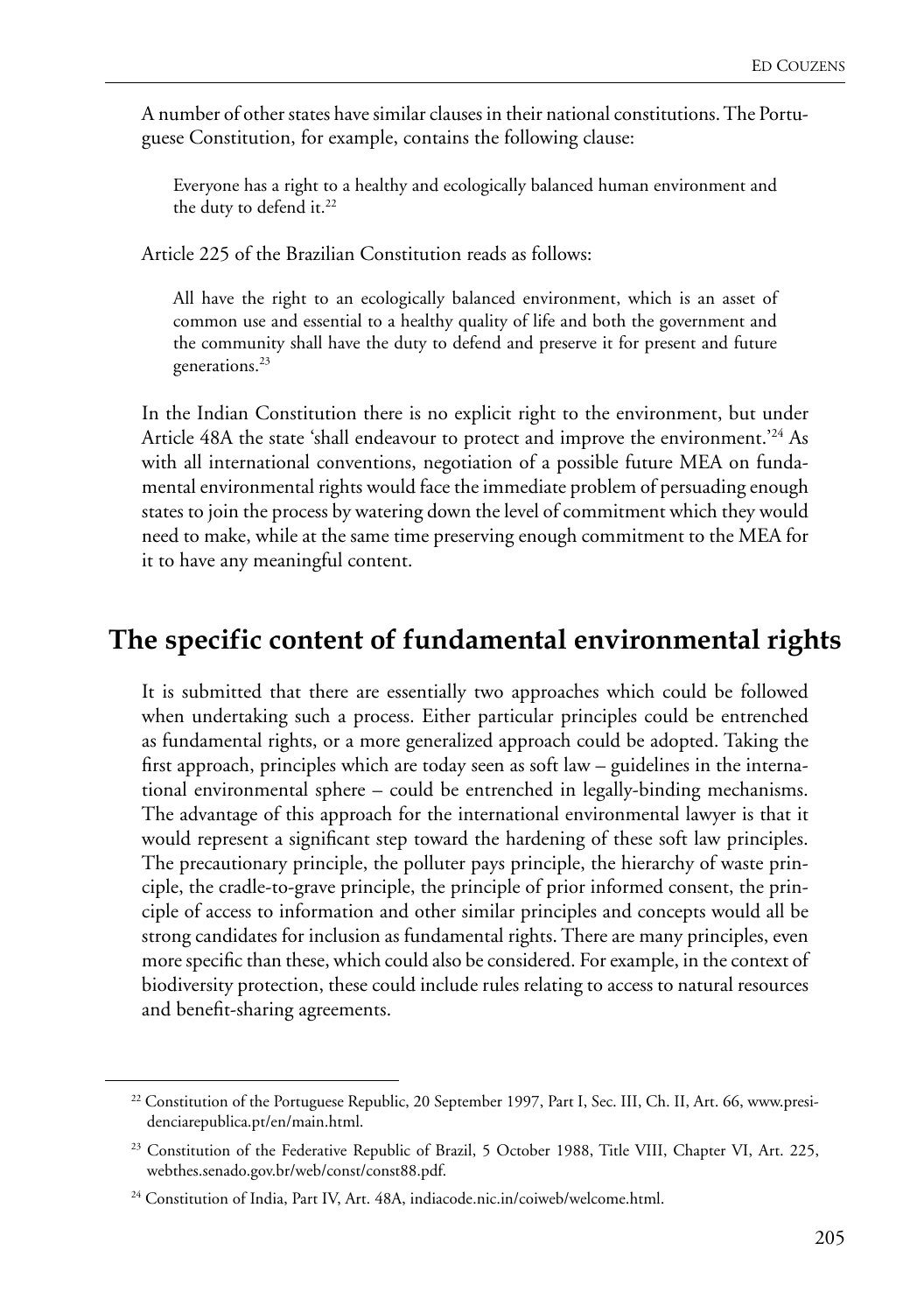A number of other states have similar clauses in their national constitutions. The Portuguese Constitution, for example, contains the following clause:

Everyone has a right to a healthy and ecologically balanced human environment and the duty to defend it.<sup>22</sup>

Article 225 of the Brazilian Constitution reads as follows:

All have the right to an ecologically balanced environment, which is an asset of common use and essential to a healthy quality of life and both the government and the community shall have the duty to defend and preserve it for present and future generations.23

In the Indian Constitution there is no explicit right to the environment, but under Article 48A the state 'shall endeavour to protect and improve the environment.'24 As with all international conventions, negotiation of a possible future MEA on fundamental environmental rights would face the immediate problem of persuading enough states to join the process by watering down the level of commitment which they would need to make, while at the same time preserving enough commitment to the MEA for it to have any meaningful content.

#### **The specific content of fundamental environmental rights**

It is submitted that there are essentially two approaches which could be followed when undertaking such a process. Either particular principles could be entrenched as fundamental rights, or a more generalized approach could be adopted. Taking the first approach, principles which are today seen as soft law – guidelines in the international environmental sphere – could be entrenched in legally-binding mechanisms. The advantage of this approach for the international environmental lawyer is that it would represent a significant step toward the hardening of these soft law principles. The precautionary principle, the polluter pays principle, the hierarchy of waste principle, the cradle-to-grave principle, the principle of prior informed consent, the principle of access to information and other similar principles and concepts would all be strong candidates for inclusion as fundamental rights. There are many principles, even more specific than these, which could also be considered. For example, in the context of biodiversity protection, these could include rules relating to access to natural resources and benefit-sharing agreements.

<sup>&</sup>lt;sup>22</sup> Constitution of the Portuguese Republic, 20 September 1997, Part I, Sec. III, Ch. II, Art. 66, www.presidenciarepublica.pt/en/main.html.

<sup>&</sup>lt;sup>23</sup> Constitution of the Federative Republic of Brazil, 5 October 1988, Title VIII, Chapter VI, Art. 225, webthes.senado.gov.br/web/const/const88.pdf.

<sup>&</sup>lt;sup>24</sup> Constitution of India, Part IV, Art. 48A, indiacode.nic.in/coiweb/welcome.html.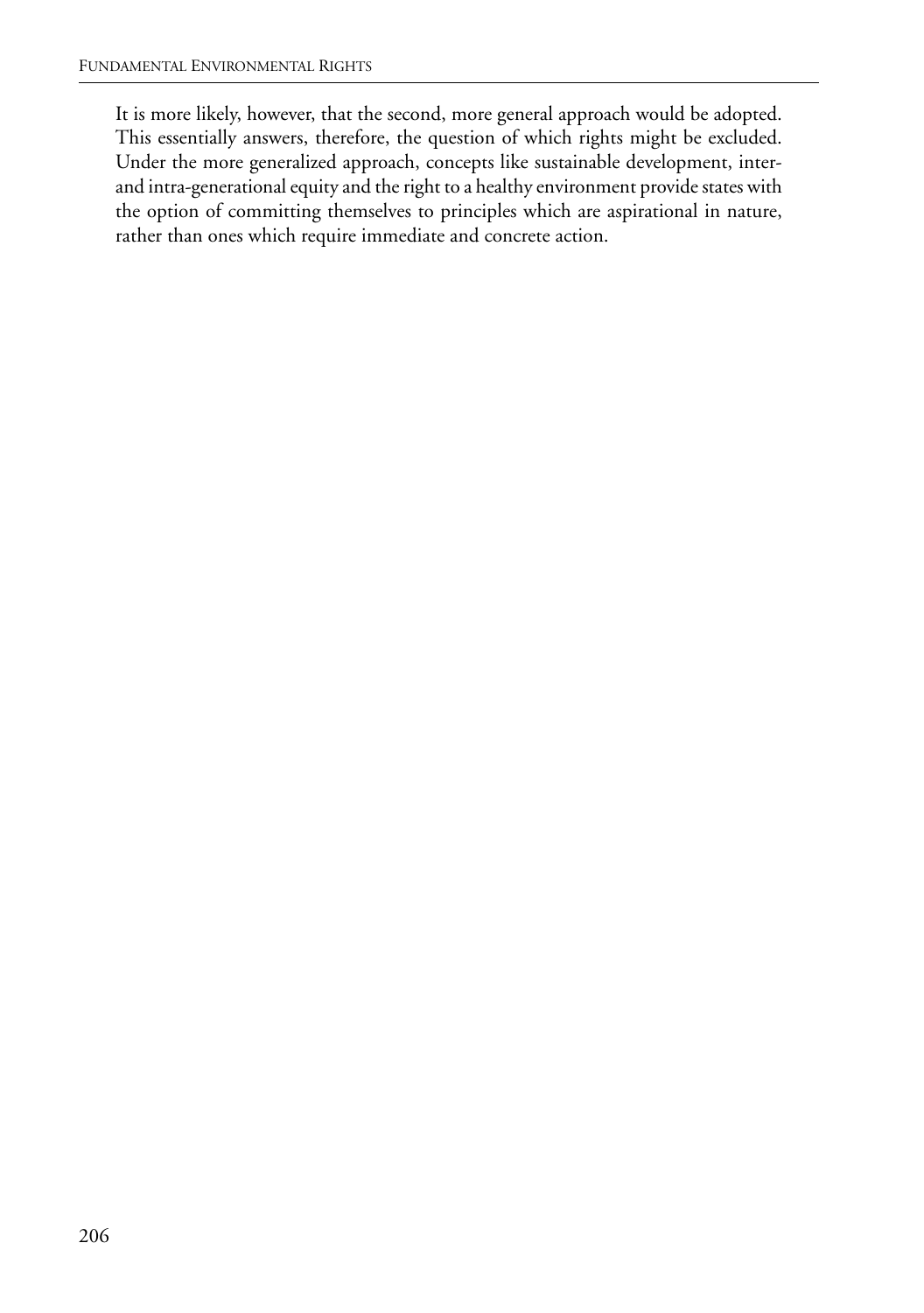It is more likely, however, that the second, more general approach would be adopted. This essentially answers, therefore, the question of which rights might be excluded. Under the more generalized approach, concepts like sustainable development, interand intra-generational equity and the right to a healthy environment provide states with the option of committing themselves to principles which are aspirational in nature, rather than ones which require immediate and concrete action.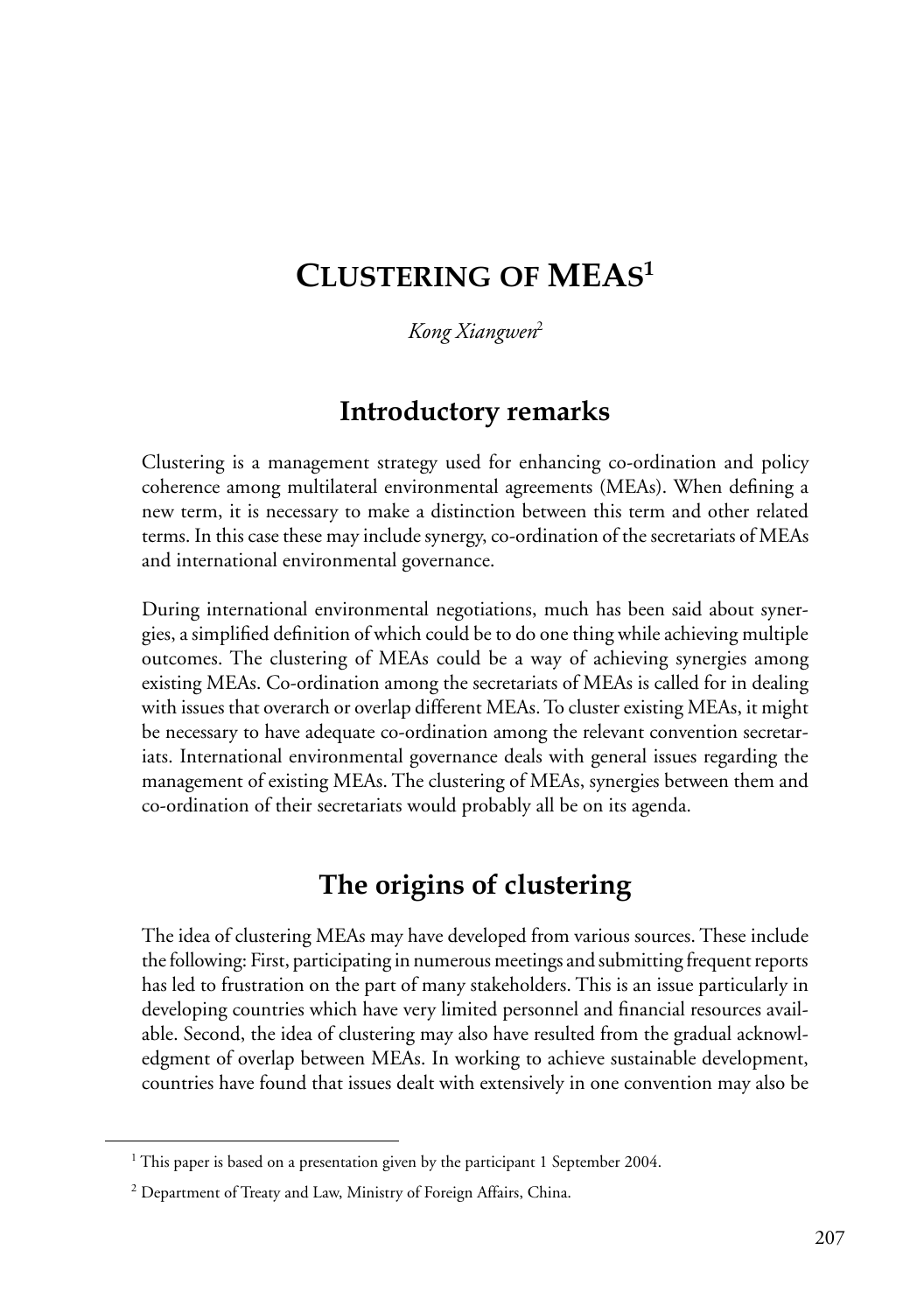# **CLUSTERING OF MEAS1**

*Kong Xiangwen*<sup>2</sup>

#### **Introductory remarks**

Clustering is a management strategy used for enhancing co-ordination and policy coherence among multilateral environmental agreements (MEAs). When defining a new term, it is necessary to make a distinction between this term and other related terms. In this case these may include synergy, co-ordination of the secretariats of MEAs and international environmental governance.

During international environmental negotiations, much has been said about synergies, a simplified definition of which could be to do one thing while achieving multiple outcomes. The clustering of MEAs could be a way of achieving synergies among existing MEAs. Co-ordination among the secretariats of MEAs is called for in dealing with issues that overarch or overlap different MEAs. To cluster existing MEAs, it might be necessary to have adequate co-ordination among the relevant convention secretariats. International environmental governance deals with general issues regarding the management of existing MEAs. The clustering of MEAs, synergies between them and co-ordination of their secretariats would probably all be on its agenda.

#### **The origins of clustering**

The idea of clustering MEAs may have developed from various sources. These include the following: First, participating in numerous meetings and submitting frequent reports has led to frustration on the part of many stakeholders. This is an issue particularly in developing countries which have very limited personnel and financial resources available. Second, the idea of clustering may also have resulted from the gradual acknowledgment of overlap between MEAs. In working to achieve sustainable development, countries have found that issues dealt with extensively in one convention may also be

<sup>&</sup>lt;sup>1</sup> This paper is based on a presentation given by the participant 1 September 2004.

 $2$  Department of Treaty and Law, Ministry of Foreign Affairs, China.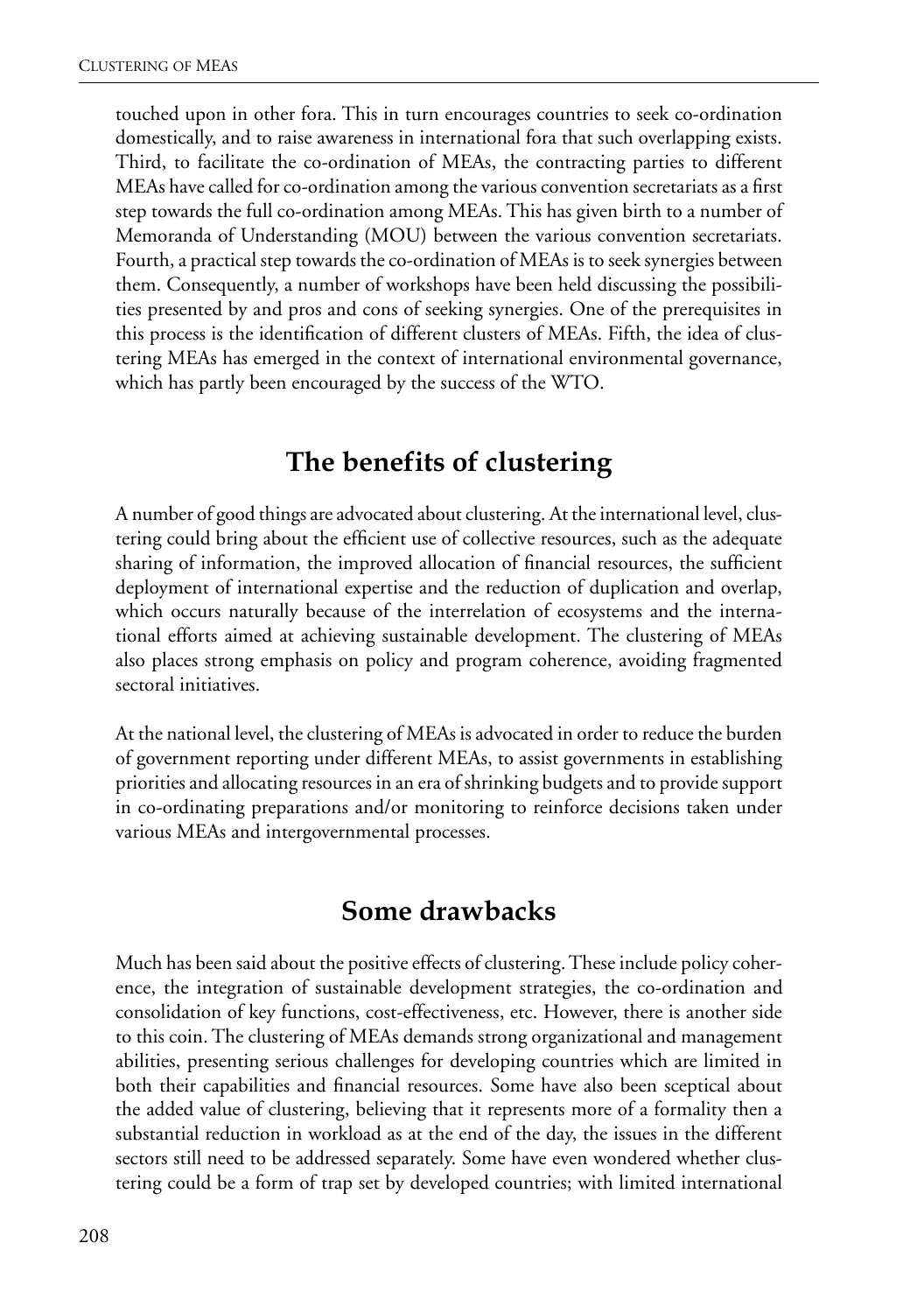touched upon in other fora. This in turn encourages countries to seek co-ordination domestically, and to raise awareness in international fora that such overlapping exists. Third, to facilitate the co-ordination of MEAs, the contracting parties to different MEAs have called for co-ordination among the various convention secretariats as a first step towards the full co-ordination among MEAs. This has given birth to a number of Memoranda of Understanding (MOU) between the various convention secretariats. Fourth, a practical step towards the co-ordination of MEAs is to seek synergies between them. Consequently, a number of workshops have been held discussing the possibilities presented by and pros and cons of seeking synergies. One of the prerequisites in this process is the identification of different clusters of MEAs. Fifth, the idea of clustering MEAs has emerged in the context of international environmental governance, which has partly been encouraged by the success of the WTO.

#### **The benefits of clustering**

A number of good things are advocated about clustering. At the international level, clustering could bring about the efficient use of collective resources, such as the adequate sharing of information, the improved allocation of financial resources, the sufficient deployment of international expertise and the reduction of duplication and overlap, which occurs naturally because of the interrelation of ecosystems and the international efforts aimed at achieving sustainable development. The clustering of MEAs also places strong emphasis on policy and program coherence, avoiding fragmented sectoral initiatives.

At the national level, the clustering of MEAs is advocated in order to reduce the burden of government reporting under different MEAs, to assist governments in establishing priorities and allocating resources in an era of shrinking budgets and to provide support in co-ordinating preparations and/or monitoring to reinforce decisions taken under various MEAs and intergovernmental processes.

#### **Some drawbacks**

Much has been said about the positive effects of clustering. These include policy coherence, the integration of sustainable development strategies, the co-ordination and consolidation of key functions, cost-effectiveness, etc. However, there is another side to this coin. The clustering of MEAs demands strong organizational and management abilities, presenting serious challenges for developing countries which are limited in both their capabilities and financial resources. Some have also been sceptical about the added value of clustering, believing that it represents more of a formality then a substantial reduction in workload as at the end of the day, the issues in the different sectors still need to be addressed separately. Some have even wondered whether clustering could be a form of trap set by developed countries; with limited international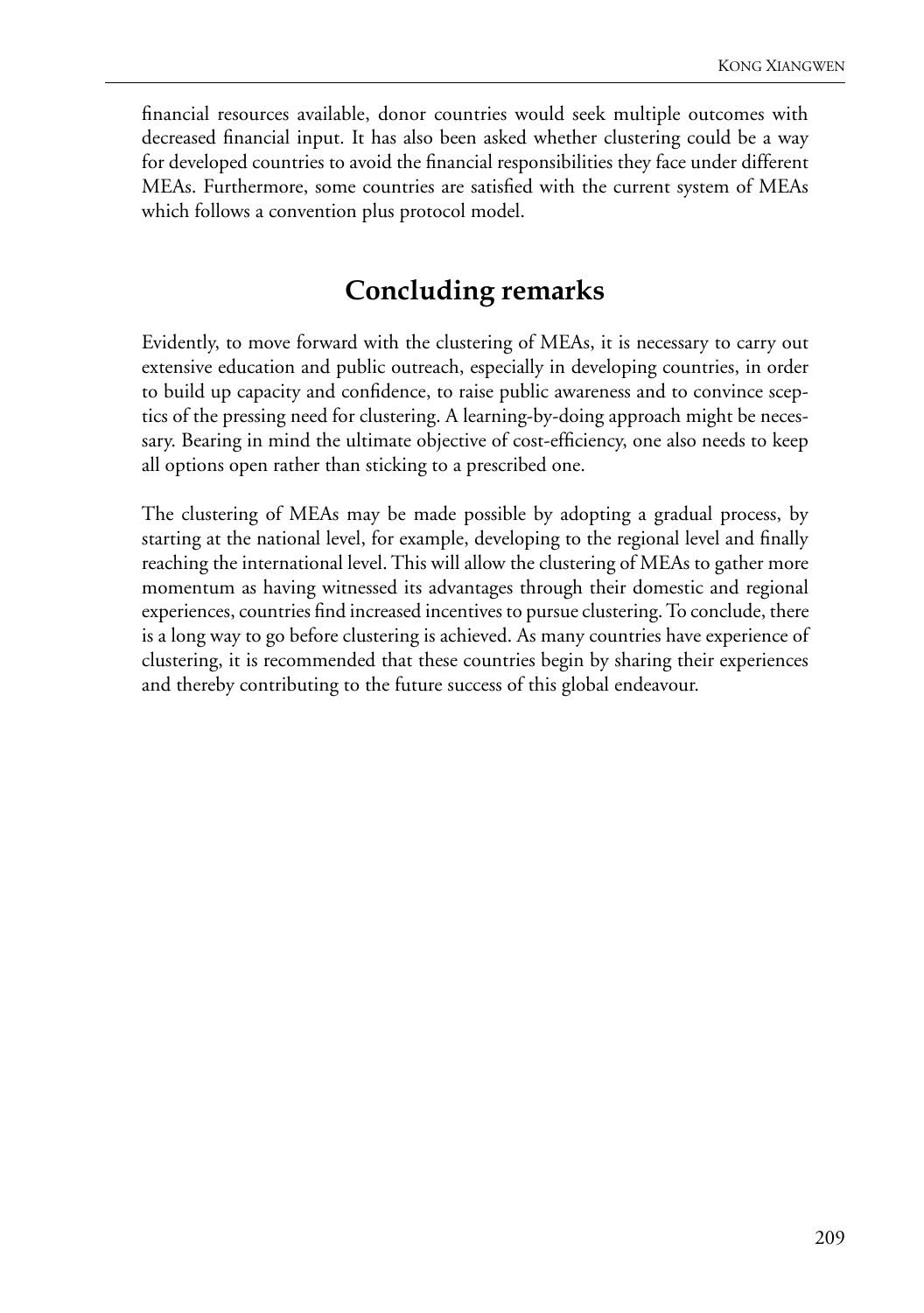financial resources available, donor countries would seek multiple outcomes with decreased financial input. It has also been asked whether clustering could be a way for developed countries to avoid the financial responsibilities they face under different MEAs. Furthermore, some countries are satisfied with the current system of MEAs which follows a convention plus protocol model.

#### **Concluding remarks**

Evidently, to move forward with the clustering of MEAs, it is necessary to carry out extensive education and public outreach, especially in developing countries, in order to build up capacity and confidence, to raise public awareness and to convince sceptics of the pressing need for clustering. A learning-by-doing approach might be necessary. Bearing in mind the ultimate objective of cost-efficiency, one also needs to keep all options open rather than sticking to a prescribed one.

The clustering of MEAs may be made possible by adopting a gradual process, by starting at the national level, for example, developing to the regional level and finally reaching the international level. This will allow the clustering of MEAs to gather more momentum as having witnessed its advantages through their domestic and regional experiences, countries find increased incentives to pursue clustering. To conclude, there is a long way to go before clustering is achieved. As many countries have experience of clustering, it is recommended that these countries begin by sharing their experiences and thereby contributing to the future success of this global endeavour.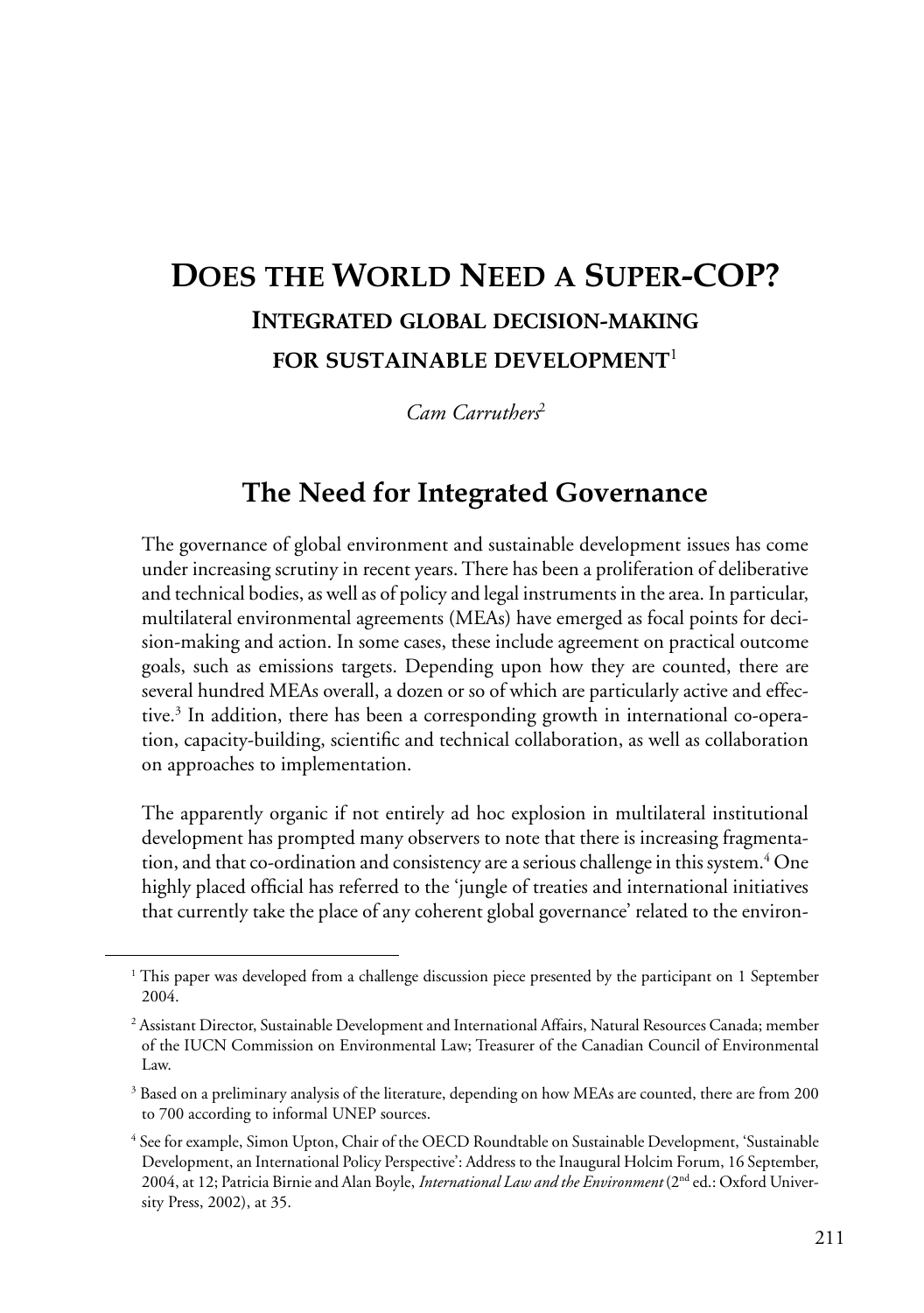# **DOES THE WORLD NEED A SUPER-COP? INTEGRATED GLOBAL DECISION-MAKING FOR SUSTAINABLE DEVELOPMENT**<sup>1</sup>

*Cam Carruthers*<sup>2</sup>

#### **The Need for Integrated Governance**

The governance of global environment and sustainable development issues has come under increasing scrutiny in recent years. There has been a proliferation of deliberative and technical bodies, as well as of policy and legal instruments in the area. In particular, multilateral environmental agreements (MEAs) have emerged as focal points for decision-making and action. In some cases, these include agreement on practical outcome goals, such as emissions targets. Depending upon how they are counted, there are several hundred MEAs overall, a dozen or so of which are particularly active and effective.3 In addition, there has been a corresponding growth in international co-operation, capacity-building, scientific and technical collaboration, as well as collaboration on approaches to implementation.

The apparently organic if not entirely ad hoc explosion in multilateral institutional development has prompted many observers to note that there is increasing fragmentation, and that co-ordination and consistency are a serious challenge in this system.4 One highly placed official has referred to the 'jungle of treaties and international initiatives that currently take the place of any coherent global governance' related to the environ-

<sup>&</sup>lt;sup>1</sup> This paper was developed from a challenge discussion piece presented by the participant on 1 September 2004.

<sup>2</sup> Assistant Director, Sustainable Development and International Affairs, Natural Resources Canada; member of the IUCN Commission on Environmental Law; Treasurer of the Canadian Council of Environmental Law.

<sup>&</sup>lt;sup>3</sup> Based on a preliminary analysis of the literature, depending on how MEAs are counted, there are from 200 to 700 according to informal UNEP sources.

<sup>4</sup> See for example, Simon Upton, Chair of the OECD Roundtable on Sustainable Development, 'Sustainable Development, an International Policy Perspective': Address to the Inaugural Holcim Forum, 16 September, 2004, at 12; Patricia Birnie and Alan Boyle, *International Law and the Environment* (2nd ed.: Oxford University Press, 2002), at 35.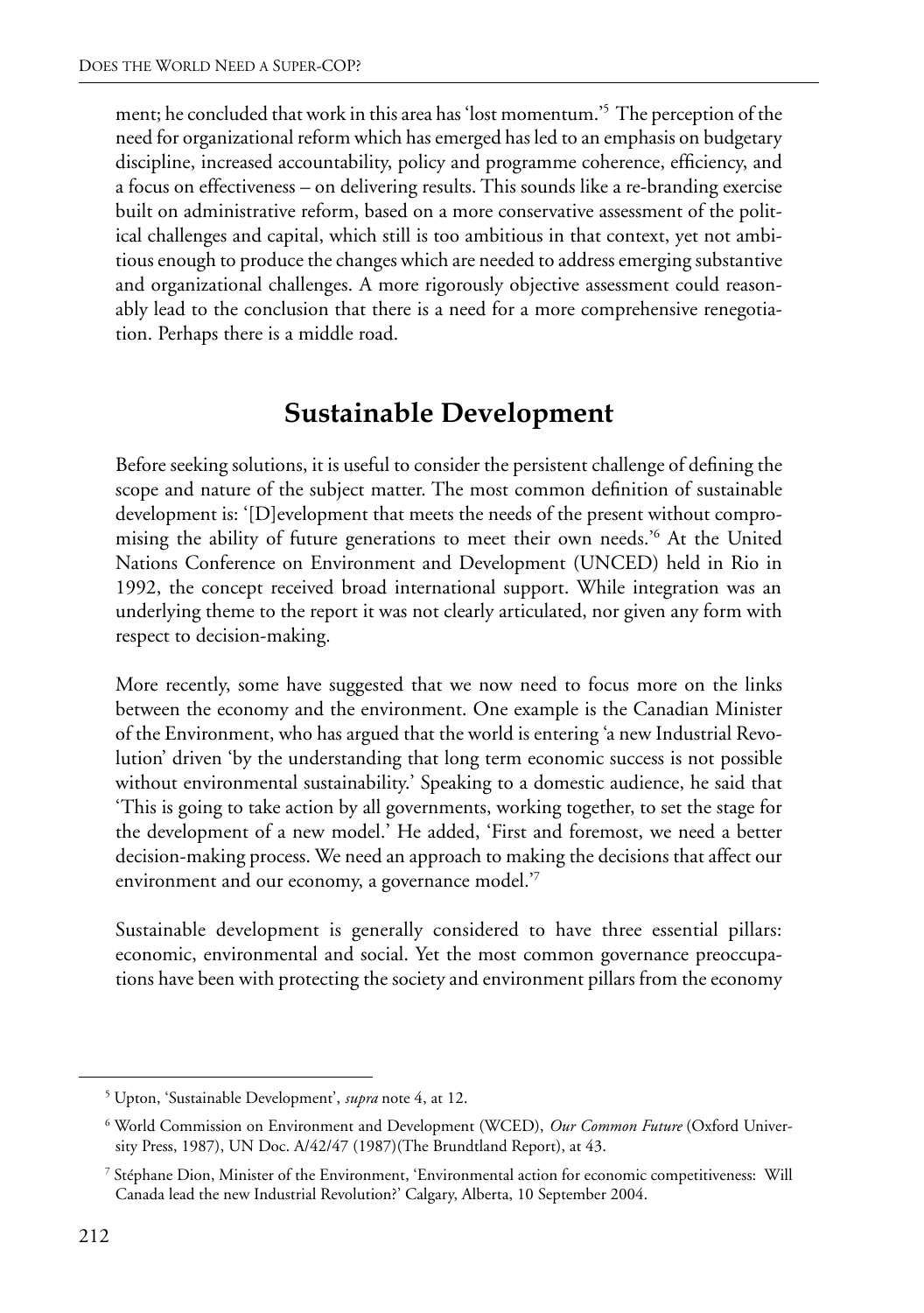ment; he concluded that work in this area has 'lost momentum.'5 The perception of the need for organizational reform which has emerged has led to an emphasis on budgetary discipline, increased accountability, policy and programme coherence, efficiency, and a focus on effectiveness – on delivering results. This sounds like a re-branding exercise built on administrative reform, based on a more conservative assessment of the political challenges and capital, which still is too ambitious in that context, yet not ambitious enough to produce the changes which are needed to address emerging substantive and organizational challenges. A more rigorously objective assessment could reasonably lead to the conclusion that there is a need for a more comprehensive renegotiation. Perhaps there is a middle road.

#### **Sustainable Development**

Before seeking solutions, it is useful to consider the persistent challenge of defining the scope and nature of the subject matter. The most common definition of sustainable development is: '[D]evelopment that meets the needs of the present without compromising the ability of future generations to meet their own needs.'6 At the United Nations Conference on Environment and Development (UNCED) held in Rio in 1992, the concept received broad international support. While integration was an underlying theme to the report it was not clearly articulated, nor given any form with respect to decision-making.

More recently, some have suggested that we now need to focus more on the links between the economy and the environment. One example is the Canadian Minister of the Environment, who has argued that the world is entering 'a new Industrial Revolution' driven 'by the understanding that long term economic success is not possible without environmental sustainability.' Speaking to a domestic audience, he said that 'This is going to take action by all governments, working together, to set the stage for the development of a new model.' He added, 'First and foremost, we need a better decision-making process. We need an approach to making the decisions that affect our environment and our economy, a governance model.'7

Sustainable development is generally considered to have three essential pillars: economic, environmental and social. Yet the most common governance preoccupations have been with protecting the society and environment pillars from the economy

<sup>5</sup> Upton, 'Sustainable Development', *supra* note 4, at 12.

<sup>6</sup> World Commission on Environment and Development (WCED), *Our Common Future* (Oxford University Press, 1987), UN Doc. A/42/47 (1987)(The Brundtland Report), at 43.

<sup>7</sup> Stéphane Dion, Minister of the Environment, 'Environmental action for economic competitiveness: Will Canada lead the new Industrial Revolution?' Calgary, Alberta, 10 September 2004.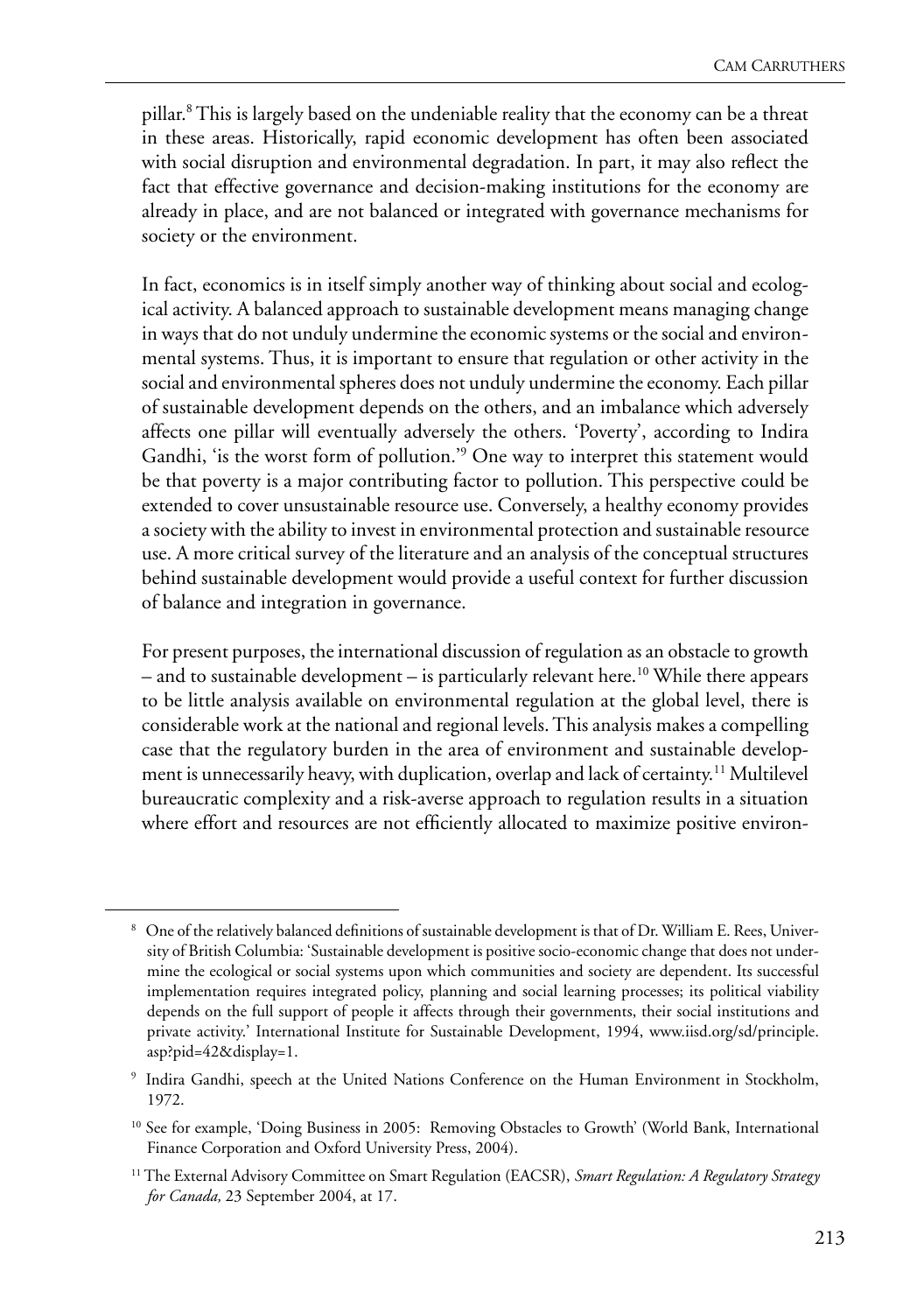pillar.<sup>8</sup> This is largely based on the undeniable reality that the economy can be a threat in these areas. Historically, rapid economic development has often been associated with social disruption and environmental degradation. In part, it may also reflect the fact that effective governance and decision-making institutions for the economy are already in place, and are not balanced or integrated with governance mechanisms for society or the environment.

In fact, economics is in itself simply another way of thinking about social and ecological activity. A balanced approach to sustainable development means managing change in ways that do not unduly undermine the economic systems or the social and environmental systems. Thus, it is important to ensure that regulation or other activity in the social and environmental spheres does not unduly undermine the economy. Each pillar of sustainable development depends on the others, and an imbalance which adversely affects one pillar will eventually adversely the others. 'Poverty', according to Indira Gandhi, 'is the worst form of pollution.'9 One way to interpret this statement would be that poverty is a major contributing factor to pollution. This perspective could be extended to cover unsustainable resource use. Conversely, a healthy economy provides a society with the ability to invest in environmental protection and sustainable resource use. A more critical survey of the literature and an analysis of the conceptual structures behind sustainable development would provide a useful context for further discussion of balance and integration in governance.

For present purposes, the international discussion of regulation as an obstacle to growth  $-$  and to sustainable development  $-$  is particularly relevant here.<sup>10</sup> While there appears to be little analysis available on environmental regulation at the global level, there is considerable work at the national and regional levels. This analysis makes a compelling case that the regulatory burden in the area of environment and sustainable development is unnecessarily heavy, with duplication, overlap and lack of certainty.11 Multilevel bureaucratic complexity and a risk-averse approach to regulation results in a situation where effort and resources are not efficiently allocated to maximize positive environ-

 $^8\,$  One of the relatively balanced definitions of sustainable development is that of Dr. William E. Rees, University of British Columbia: 'Sustainable development is positive socio-economic change that does not undermine the ecological or social systems upon which communities and society are dependent. Its successful implementation requires integrated policy, planning and social learning processes; its political viability depends on the full support of people it affects through their governments, their social institutions and private activity.' International Institute for Sustainable Development, 1994, www.iisd.org/sd/principle. asp?pid=42&display=1.

<sup>9</sup> Indira Gandhi, speech at the United Nations Conference on the Human Environment in Stockholm, 1972.

<sup>&</sup>lt;sup>10</sup> See for example, 'Doing Business in 2005: Removing Obstacles to Growth' (World Bank, International Finance Corporation and Oxford University Press, 2004).

<sup>11</sup> The External Advisory Committee on Smart Regulation (EACSR), *Smart Regulation: A Regulatory Strategy for Canada,* 23 September 2004, at 17.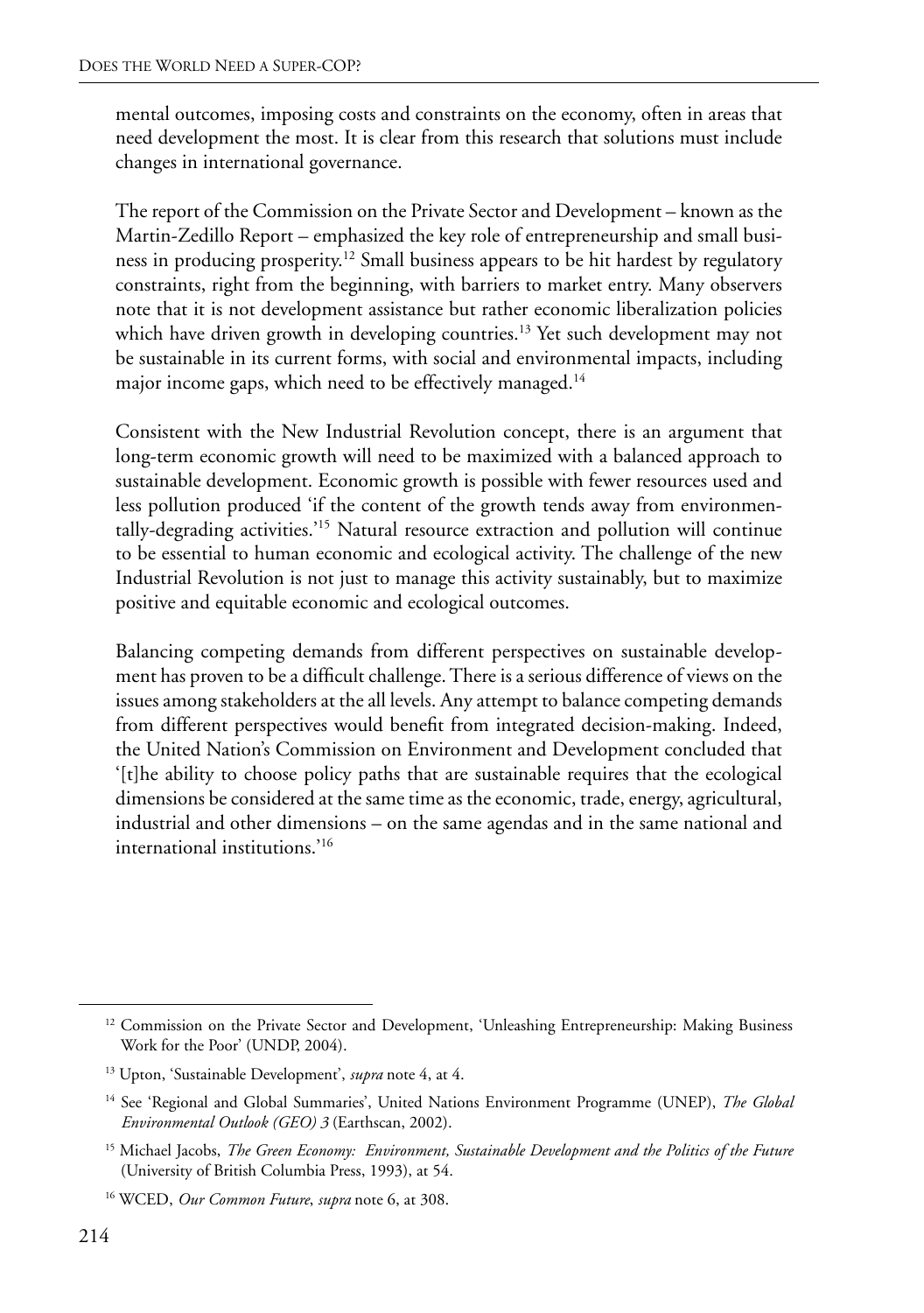mental outcomes, imposing costs and constraints on the economy, often in areas that need development the most. It is clear from this research that solutions must include changes in international governance.

The report of the Commission on the Private Sector and Development – known as the Martin-Zedillo Report – emphasized the key role of entrepreneurship and small business in producing prosperity.12 Small business appears to be hit hardest by regulatory constraints, right from the beginning, with barriers to market entry. Many observers note that it is not development assistance but rather economic liberalization policies which have driven growth in developing countries.<sup>13</sup> Yet such development may not be sustainable in its current forms, with social and environmental impacts, including major income gaps, which need to be effectively managed.<sup>14</sup>

Consistent with the New Industrial Revolution concept, there is an argument that long-term economic growth will need to be maximized with a balanced approach to sustainable development. Economic growth is possible with fewer resources used and less pollution produced 'if the content of the growth tends away from environmentally-degrading activities.'15 Natural resource extraction and pollution will continue to be essential to human economic and ecological activity. The challenge of the new Industrial Revolution is not just to manage this activity sustainably, but to maximize positive and equitable economic and ecological outcomes.

Balancing competing demands from different perspectives on sustainable development has proven to be a difficult challenge. There is a serious difference of views on the issues among stakeholders at the all levels. Any attempt to balance competing demands from different perspectives would benefit from integrated decision-making. Indeed, the United Nation's Commission on Environment and Development concluded that '[t]he ability to choose policy paths that are sustainable requires that the ecological dimensions be considered at the same time as the economic, trade, energy, agricultural, industrial and other dimensions – on the same agendas and in the same national and international institutions.'16

<sup>&</sup>lt;sup>12</sup> Commission on the Private Sector and Development, 'Unleashing Entrepreneurship: Making Business Work for the Poor' (UNDP, 2004).

<sup>13</sup> Upton, 'Sustainable Development', *supra* note 4, at 4.

<sup>14</sup> See 'Regional and Global Summaries', United Nations Environment Programme (UNEP), *The Global Environmental Outlook (GEO) 3* (Earthscan, 2002).

<sup>15</sup> Michael Jacobs, *The Green Economy: Environment, Sustainable Development and the Politics of the Future*  (University of British Columbia Press, 1993), at 54.

<sup>16</sup> WCED, *Our Common Future*, *supra* note 6, at 308.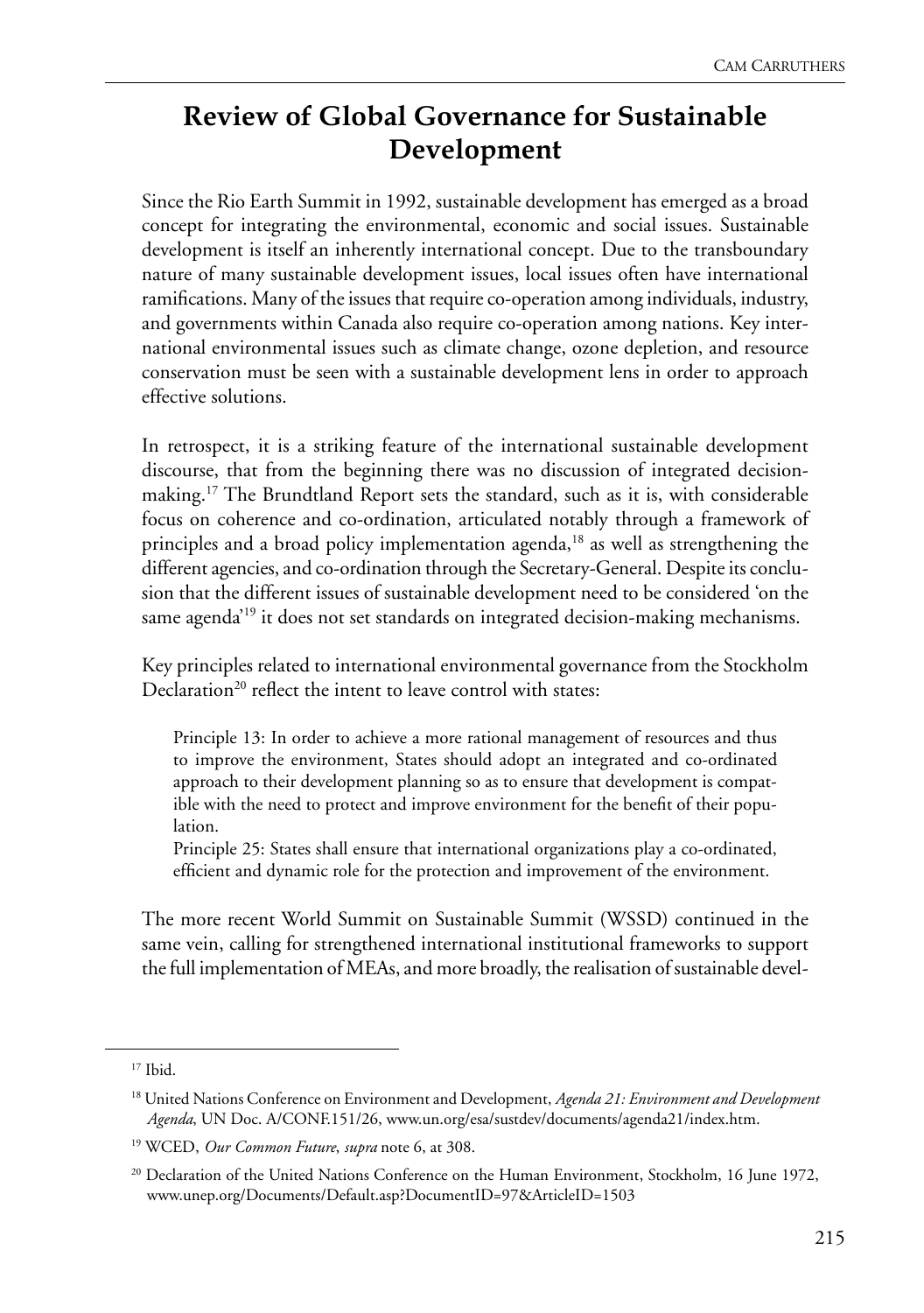#### **Review of Global Governance for Sustainable Development**

Since the Rio Earth Summit in 1992, sustainable development has emerged as a broad concept for integrating the environmental, economic and social issues. Sustainable development is itself an inherently international concept. Due to the transboundary nature of many sustainable development issues, local issues often have international ramifications. Many of the issues that require co-operation among individuals, industry, and governments within Canada also require co-operation among nations. Key international environmental issues such as climate change, ozone depletion, and resource conservation must be seen with a sustainable development lens in order to approach effective solutions.

In retrospect, it is a striking feature of the international sustainable development discourse, that from the beginning there was no discussion of integrated decisionmaking.<sup>17</sup> The Brundtland Report sets the standard, such as it is, with considerable focus on coherence and co-ordination, articulated notably through a framework of principles and a broad policy implementation agenda,<sup>18</sup> as well as strengthening the different agencies, and co-ordination through the Secretary-General. Despite its conclusion that the different issues of sustainable development need to be considered 'on the same agenda<sup>19</sup> it does not set standards on integrated decision-making mechanisms.

Key principles related to international environmental governance from the Stockholm Declaration<sup>20</sup> reflect the intent to leave control with states:

Principle 13: In order to achieve a more rational management of resources and thus to improve the environment, States should adopt an integrated and co-ordinated approach to their development planning so as to ensure that development is compatible with the need to protect and improve environment for the benefit of their population.

Principle 25: States shall ensure that international organizations play a co-ordinated, efficient and dynamic role for the protection and improvement of the environment.

The more recent World Summit on Sustainable Summit (WSSD) continued in the same vein, calling for strengthened international institutional frameworks to support the full implementation of MEAs, and more broadly, the realisation of sustainable devel-

<sup>17</sup> Ibid.

<sup>18</sup> United Nations Conference on Environment and Development, *Agenda 21: Environment and Development Agenda*, UN Doc. A/CONF.151/26, www.un.org/esa/sustdev/documents/agenda21/index.htm.

<sup>19</sup> WCED, *Our Common Future*, *supra* note 6, at 308.

<sup>&</sup>lt;sup>20</sup> Declaration of the United Nations Conference on the Human Environment, Stockholm, 16 June 1972, www.unep.org/Documents/Default.asp?DocumentID=97&ArticleID=1503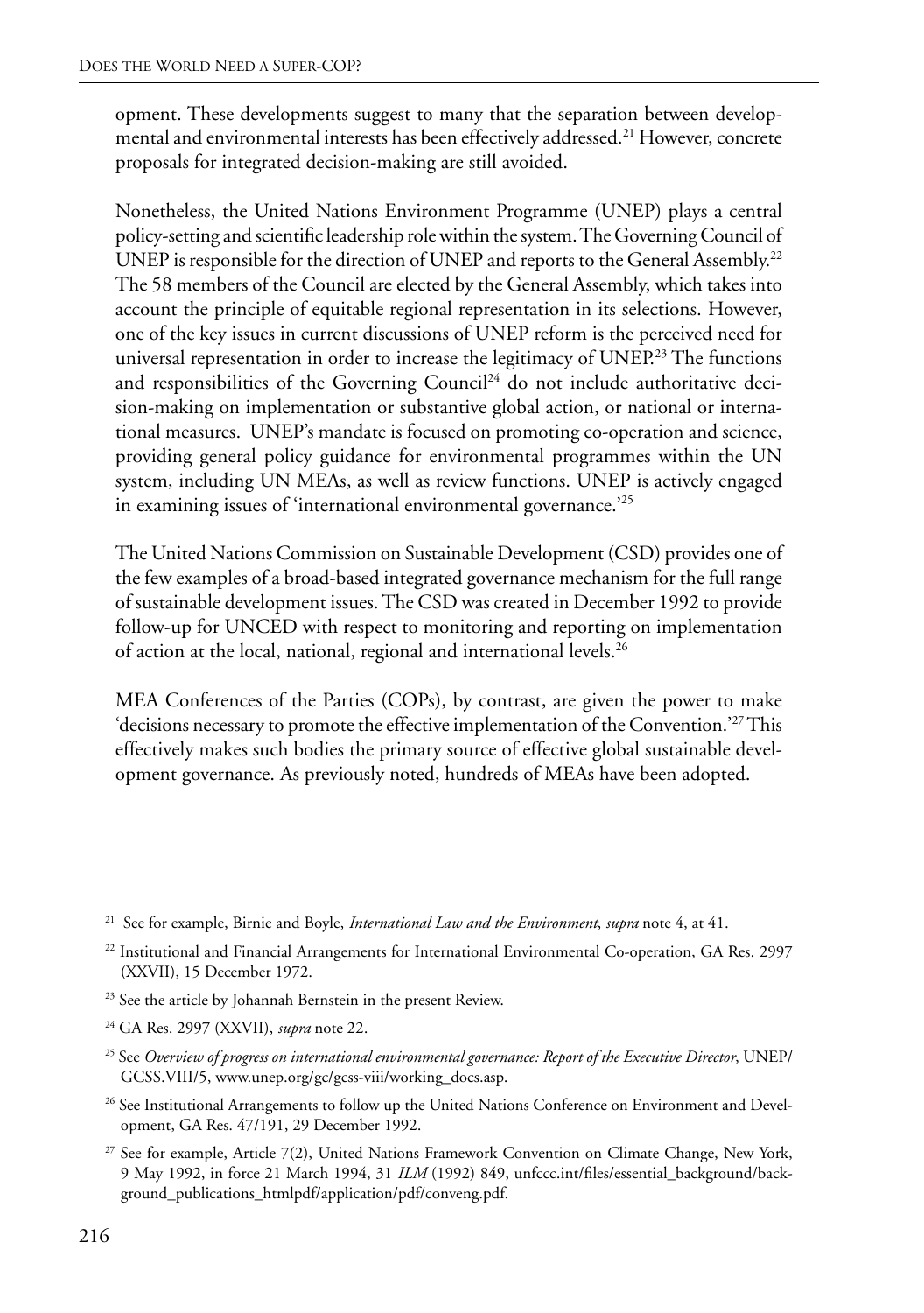opment. These developments suggest to many that the separation between developmental and environmental interests has been effectively addressed.21 However, concrete proposals for integrated decision-making are still avoided.

Nonetheless, the United Nations Environment Programme (UNEP) plays a central policy-setting and scientific leadership role within the system. The Governing Council of UNEP is responsible for the direction of UNEP and reports to the General Assembly.<sup>22</sup> The 58 members of the Council are elected by the General Assembly, which takes into account the principle of equitable regional representation in its selections. However, one of the key issues in current discussions of UNEP reform is the perceived need for universal representation in order to increase the legitimacy of  $UNEP<sup>23</sup>$  The functions and responsibilities of the Governing Council<sup>24</sup> do not include authoritative decision-making on implementation or substantive global action, or national or international measures. UNEP's mandate is focused on promoting co-operation and science, providing general policy guidance for environmental programmes within the UN system, including UN MEAs, as well as review functions. UNEP is actively engaged in examining issues of 'international environmental governance.'25

The United Nations Commission on Sustainable Development (CSD) provides one of the few examples of a broad-based integrated governance mechanism for the full range of sustainable development issues. The CSD was created in December 1992 to provide follow-up for UNCED with respect to monitoring and reporting on implementation of action at the local, national, regional and international levels.26

MEA Conferences of the Parties (COPs), by contrast, are given the power to make 'decisions necessary to promote the effective implementation of the Convention.'27 This effectively makes such bodies the primary source of effective global sustainable development governance. As previously noted, hundreds of MEAs have been adopted.

<sup>26</sup> See Institutional Arrangements to follow up the United Nations Conference on Environment and Development, GA Res. 47/191, 29 December 1992.

<sup>21</sup> See for example, Birnie and Boyle, *International Law and the Environment*, *supra* note 4, at 41.

<sup>&</sup>lt;sup>22</sup> Institutional and Financial Arrangements for International Environmental Co-operation, GA Res. 2997 (XXVII), 15 December 1972.

<sup>&</sup>lt;sup>23</sup> See the article by Johannah Bernstein in the present Review.

<sup>24</sup> GA Res. 2997 (XXVII), *supra* note 22.

<sup>25</sup> See *Overview of progress on international environmental governance: Report of the Executive Director*, UNEP/ GCSS.VIII/5, www.unep.org/gc/gcss-viii/working\_docs.asp.

<sup>27</sup> See for example, Article 7(2), United Nations Framework Convention on Climate Change, New York, 9 May 1992, in force 21 March 1994, 31 *ILM* (1992) 849, unfccc.int/files/essential\_background/background\_publications\_htmlpdf/application/pdf/conveng.pdf.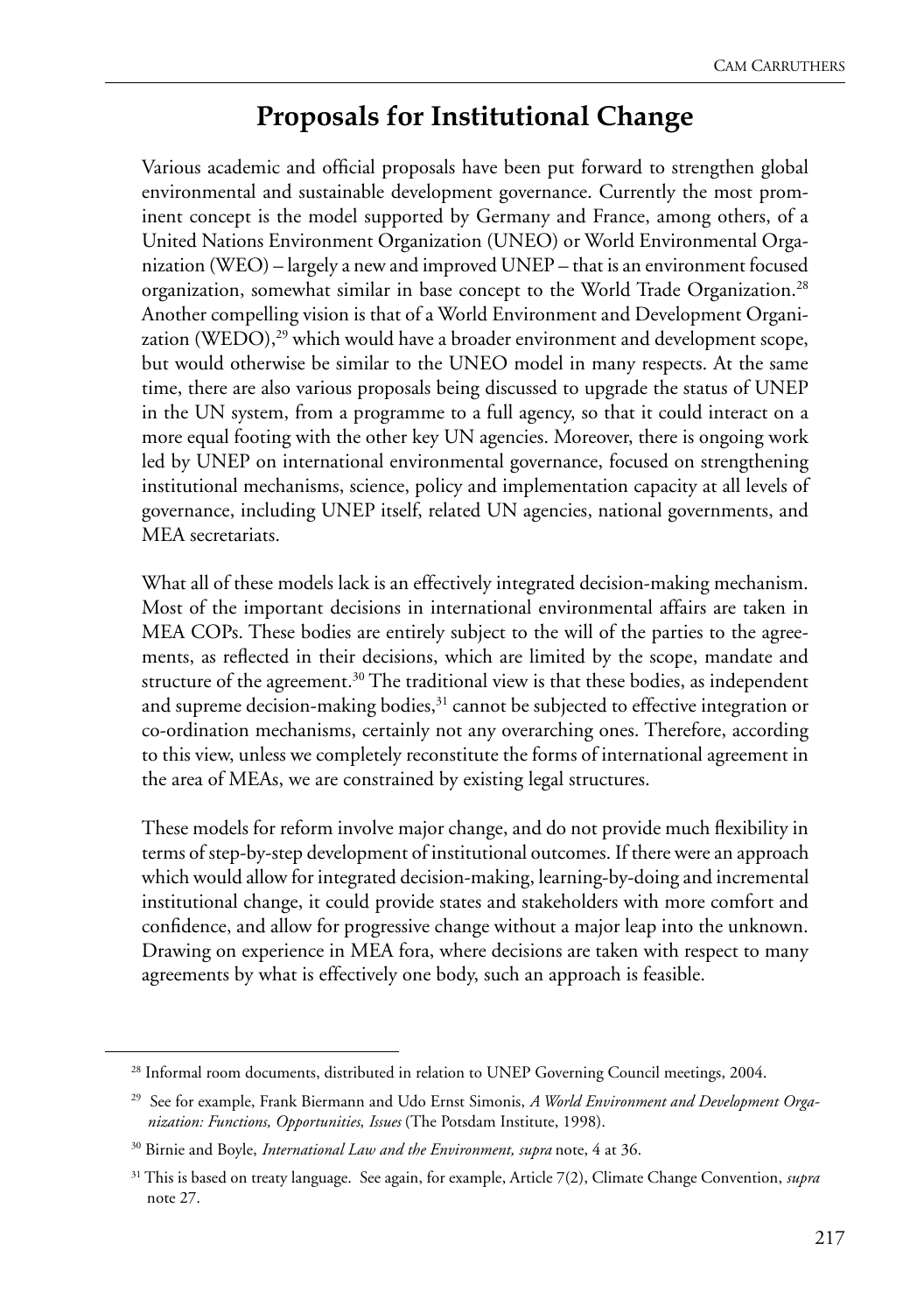#### **Proposals for Institutional Change**

Various academic and official proposals have been put forward to strengthen global environmental and sustainable development governance. Currently the most prominent concept is the model supported by Germany and France, among others, of a United Nations Environment Organization (UNEO) or World Environmental Organization (WEO) – largely a new and improved UNEP – that is an environment focused organization, somewhat similar in base concept to the World Trade Organization.<sup>28</sup> Another compelling vision is that of a World Environment and Development Organization (WEDO),<sup>29</sup> which would have a broader environment and development scope, but would otherwise be similar to the UNEO model in many respects. At the same time, there are also various proposals being discussed to upgrade the status of UNEP in the UN system, from a programme to a full agency, so that it could interact on a more equal footing with the other key UN agencies. Moreover, there is ongoing work led by UNEP on international environmental governance, focused on strengthening institutional mechanisms, science, policy and implementation capacity at all levels of governance, including UNEP itself, related UN agencies, national governments, and MEA secretariats.

What all of these models lack is an effectively integrated decision-making mechanism. Most of the important decisions in international environmental affairs are taken in MEA COPs. These bodies are entirely subject to the will of the parties to the agreements, as reflected in their decisions, which are limited by the scope, mandate and structure of the agreement.<sup>30</sup> The traditional view is that these bodies, as independent and supreme decision-making bodies,<sup>31</sup> cannot be subjected to effective integration or co-ordination mechanisms, certainly not any overarching ones. Therefore, according to this view, unless we completely reconstitute the forms of international agreement in the area of MEAs, we are constrained by existing legal structures.

These models for reform involve major change, and do not provide much flexibility in terms of step-by-step development of institutional outcomes. If there were an approach which would allow for integrated decision-making, learning-by-doing and incremental institutional change, it could provide states and stakeholders with more comfort and confidence, and allow for progressive change without a major leap into the unknown. Drawing on experience in MEA fora, where decisions are taken with respect to many agreements by what is effectively one body, such an approach is feasible.

<sup>&</sup>lt;sup>28</sup> Informal room documents, distributed in relation to UNEP Governing Council meetings, 2004.

<sup>29</sup> See for example, Frank Biermann and Udo Ernst Simonis, *A World Environment and Development Organization: Functions, Opportunities*, *Issues* (The Potsdam Institute, 1998).

<sup>30</sup> Birnie and Boyle, *International Law and the Environment, supra* note, 4 at 36.

<sup>31</sup> This is based on treaty language. See again, for example, Article 7(2), Climate Change Convention, *supra* note 27.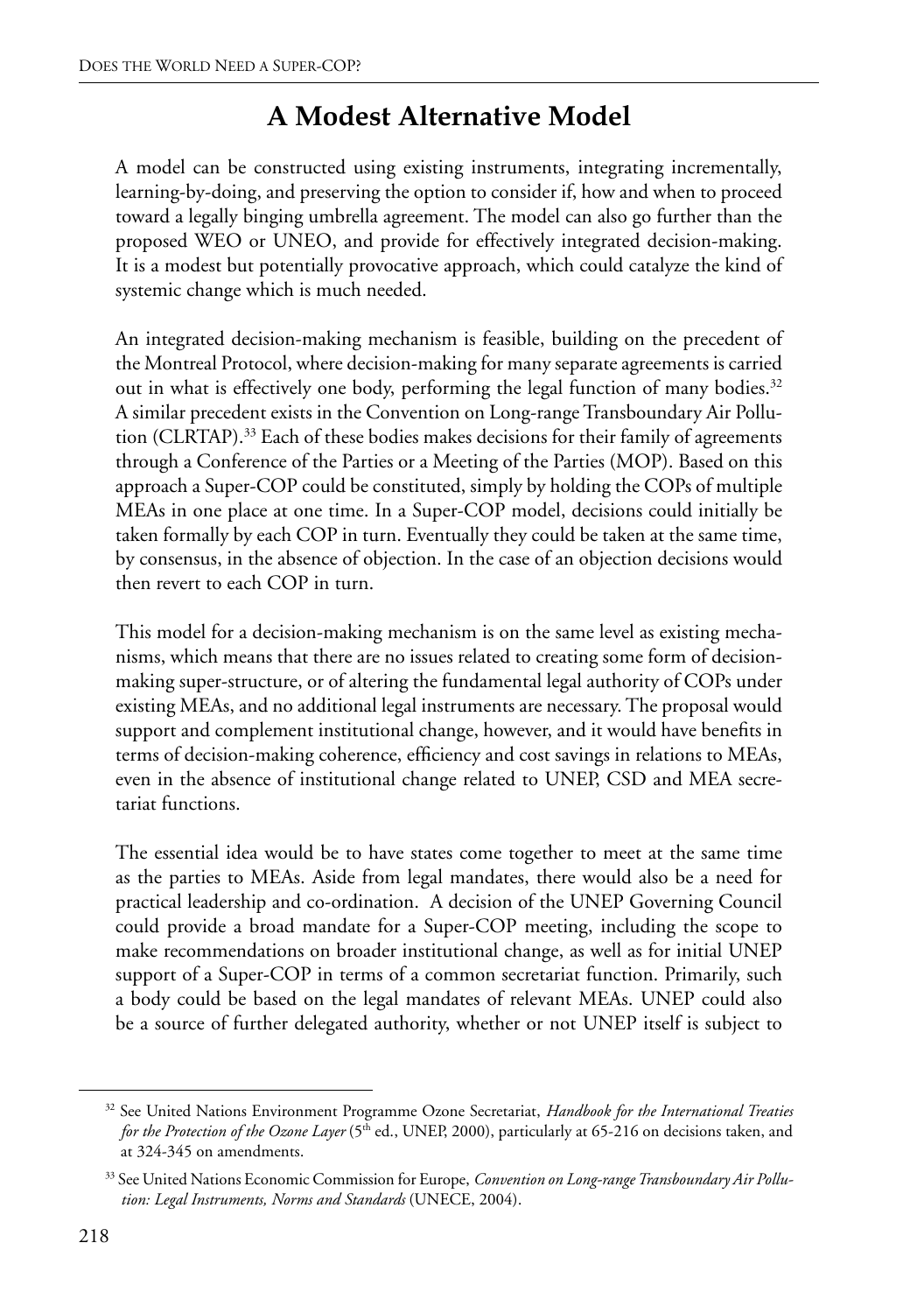#### **A Modest Alternative Model**

A model can be constructed using existing instruments, integrating incrementally, learning-by-doing, and preserving the option to consider if, how and when to proceed toward a legally binging umbrella agreement. The model can also go further than the proposed WEO or UNEO, and provide for effectively integrated decision-making. It is a modest but potentially provocative approach, which could catalyze the kind of systemic change which is much needed.

An integrated decision-making mechanism is feasible, building on the precedent of the Montreal Protocol, where decision-making for many separate agreements is carried out in what is effectively one body, performing the legal function of many bodies.<sup>32</sup> A similar precedent exists in the Convention on Long-range Transboundary Air Pollution (CLRTAP).33 Each of these bodies makes decisions for their family of agreements through a Conference of the Parties or a Meeting of the Parties (MOP). Based on this approach a Super-COP could be constituted, simply by holding the COPs of multiple MEAs in one place at one time. In a Super-COP model, decisions could initially be taken formally by each COP in turn. Eventually they could be taken at the same time, by consensus, in the absence of objection. In the case of an objection decisions would then revert to each COP in turn.

This model for a decision-making mechanism is on the same level as existing mechanisms, which means that there are no issues related to creating some form of decisionmaking super-structure, or of altering the fundamental legal authority of COPs under existing MEAs, and no additional legal instruments are necessary. The proposal would support and complement institutional change, however, and it would have benefits in terms of decision-making coherence, efficiency and cost savings in relations to MEAs, even in the absence of institutional change related to UNEP, CSD and MEA secretariat functions.

The essential idea would be to have states come together to meet at the same time as the parties to MEAs. Aside from legal mandates, there would also be a need for practical leadership and co-ordination. A decision of the UNEP Governing Council could provide a broad mandate for a Super-COP meeting, including the scope to make recommendations on broader institutional change, as well as for initial UNEP support of a Super-COP in terms of a common secretariat function. Primarily, such a body could be based on the legal mandates of relevant MEAs. UNEP could also be a source of further delegated authority, whether or not UNEP itself is subject to

<sup>32</sup> See United Nations Environment Programme Ozone Secretariat, *Handbook for the International Treaties for the Protection of the Ozone Layer* (5<sup>th</sup> ed., UNEP, 2000), particularly at 65-216 on decisions taken, and at 324-345 on amendments.

<sup>33</sup> See United Nations Economic Commission for Europe, *Convention on Long-range Transboundary Air Pollution: Legal Instruments, Norms and Standards* (UNECE, 2004).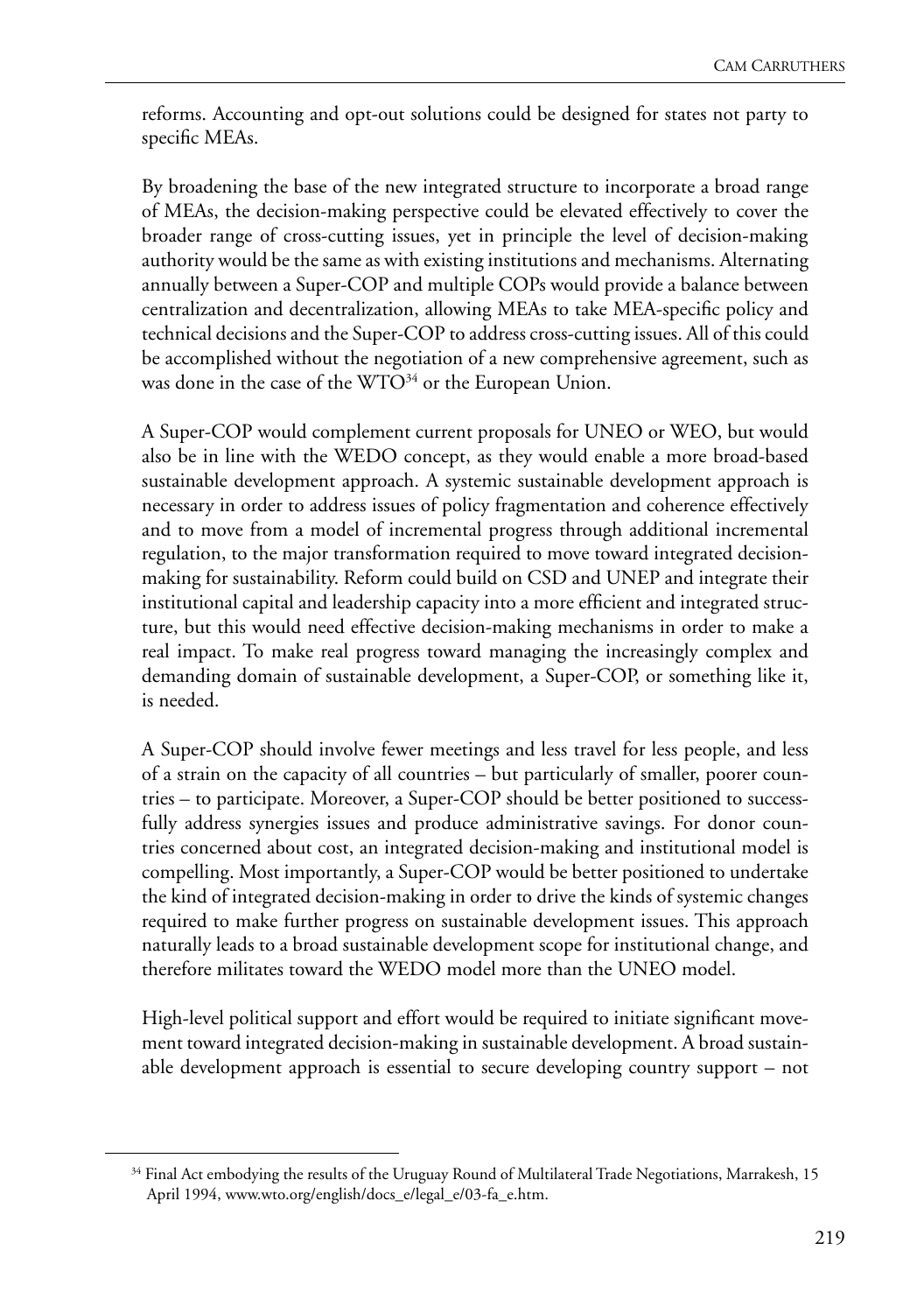reforms. Accounting and opt-out solutions could be designed for states not party to specific MEAs.

By broadening the base of the new integrated structure to incorporate a broad range of MEAs, the decision-making perspective could be elevated effectively to cover the broader range of cross-cutting issues, yet in principle the level of decision-making authority would be the same as with existing institutions and mechanisms. Alternating annually between a Super-COP and multiple COPs would provide a balance between centralization and decentralization, allowing MEAs to take MEA-specific policy and technical decisions and the Super-COP to address cross-cutting issues. All of this could be accomplished without the negotiation of a new comprehensive agreement, such as was done in the case of the  $WTO<sup>34</sup>$  or the European Union.

A Super-COP would complement current proposals for UNEO or WEO, but would also be in line with the WEDO concept, as they would enable a more broad-based sustainable development approach. A systemic sustainable development approach is necessary in order to address issues of policy fragmentation and coherence effectively and to move from a model of incremental progress through additional incremental regulation, to the major transformation required to move toward integrated decisionmaking for sustainability. Reform could build on CSD and UNEP and integrate their institutional capital and leadership capacity into a more efficient and integrated structure, but this would need effective decision-making mechanisms in order to make a real impact. To make real progress toward managing the increasingly complex and demanding domain of sustainable development, a Super-COP, or something like it, is needed.

A Super-COP should involve fewer meetings and less travel for less people, and less of a strain on the capacity of all countries – but particularly of smaller, poorer countries – to participate. Moreover, a Super-COP should be better positioned to successfully address synergies issues and produce administrative savings. For donor countries concerned about cost, an integrated decision-making and institutional model is compelling. Most importantly, a Super-COP would be better positioned to undertake the kind of integrated decision-making in order to drive the kinds of systemic changes required to make further progress on sustainable development issues. This approach naturally leads to a broad sustainable development scope for institutional change, and therefore militates toward the WEDO model more than the UNEO model.

High-level political support and effort would be required to initiate significant movement toward integrated decision-making in sustainable development. A broad sustainable development approach is essential to secure developing country support – not

<sup>&</sup>lt;sup>34</sup> Final Act embodying the results of the Uruguay Round of Multilateral Trade Negotiations, Marrakesh, 15 April 1994, www.wto.org/english/docs\_e/legal\_e/03-fa\_e.htm.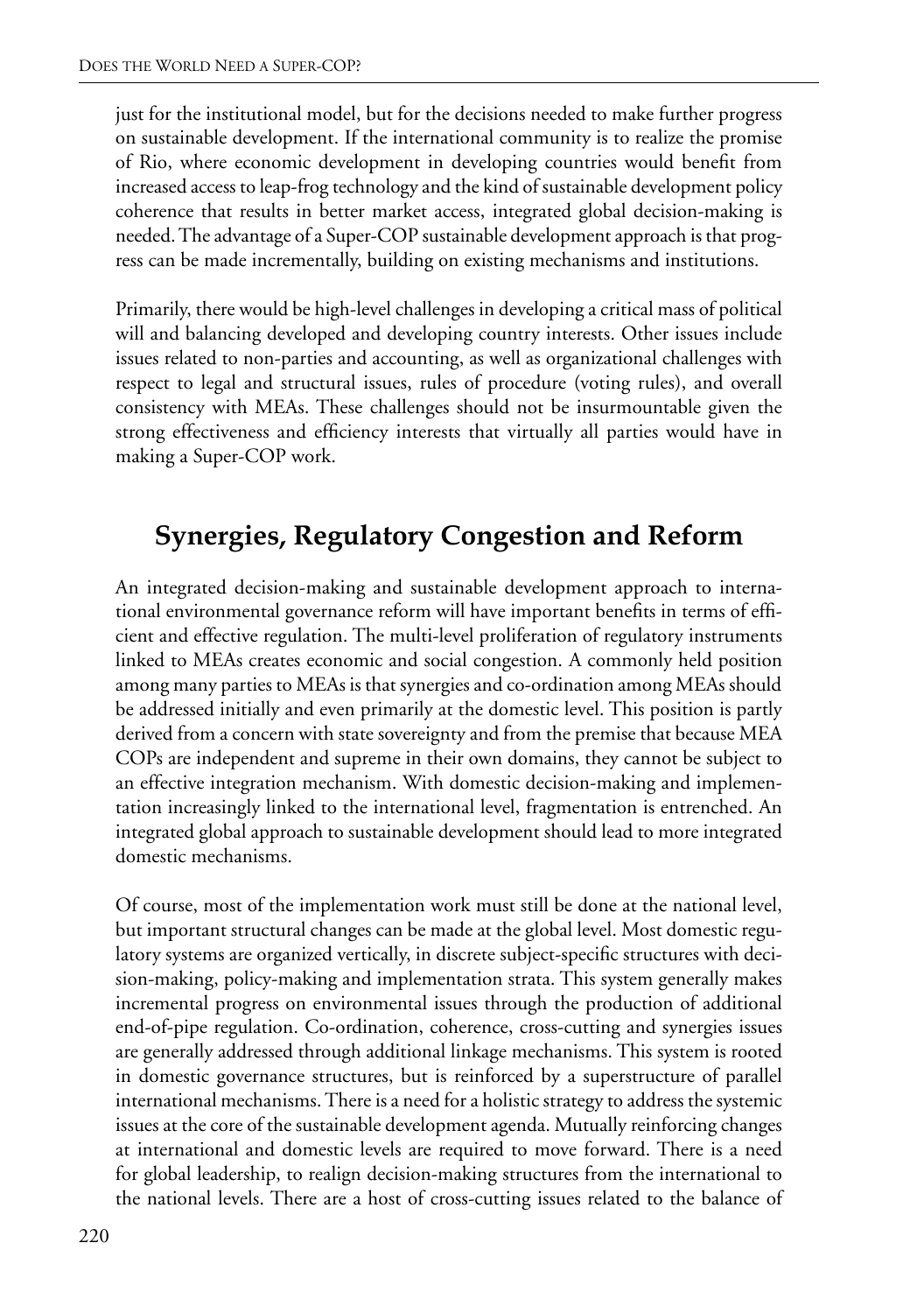just for the institutional model, but for the decisions needed to make further progress on sustainable development. If the international community is to realize the promise of Rio, where economic development in developing countries would benefit from increased access to leap-frog technology and the kind of sustainable development policy coherence that results in better market access, integrated global decision-making is needed. The advantage of a Super-COP sustainable development approach is that progress can be made incrementally, building on existing mechanisms and institutions.

Primarily, there would be high-level challenges in developing a critical mass of political will and balancing developed and developing country interests. Other issues include issues related to non-parties and accounting, as well as organizational challenges with respect to legal and structural issues, rules of procedure (voting rules), and overall consistency with MEAs. These challenges should not be insurmountable given the strong effectiveness and efficiency interests that virtually all parties would have in making a Super-COP work.

## **Synergies, Regulatory Congestion and Reform**

An integrated decision-making and sustainable development approach to international environmental governance reform will have important benefits in terms of efficient and effective regulation. The multi-level proliferation of regulatory instruments linked to MEAs creates economic and social congestion. A commonly held position among many parties to MEAs is that synergies and co-ordination among MEAs should be addressed initially and even primarily at the domestic level. This position is partly derived from a concern with state sovereignty and from the premise that because MEA COPs are independent and supreme in their own domains, they cannot be subject to an effective integration mechanism. With domestic decision-making and implementation increasingly linked to the international level, fragmentation is entrenched. An integrated global approach to sustainable development should lead to more integrated domestic mechanisms.

Of course, most of the implementation work must still be done at the national level, but important structural changes can be made at the global level. Most domestic regulatory systems are organized vertically, in discrete subject-specific structures with decision-making, policy-making and implementation strata. This system generally makes incremental progress on environmental issues through the production of additional end-of-pipe regulation. Co-ordination, coherence, cross-cutting and synergies issues are generally addressed through additional linkage mechanisms. This system is rooted in domestic governance structures, but is reinforced by a superstructure of parallel international mechanisms. There is a need for a holistic strategy to address the systemic issues at the core of the sustainable development agenda. Mutually reinforcing changes at international and domestic levels are required to move forward. There is a need for global leadership, to realign decision-making structures from the international to the national levels. There are a host of cross-cutting issues related to the balance of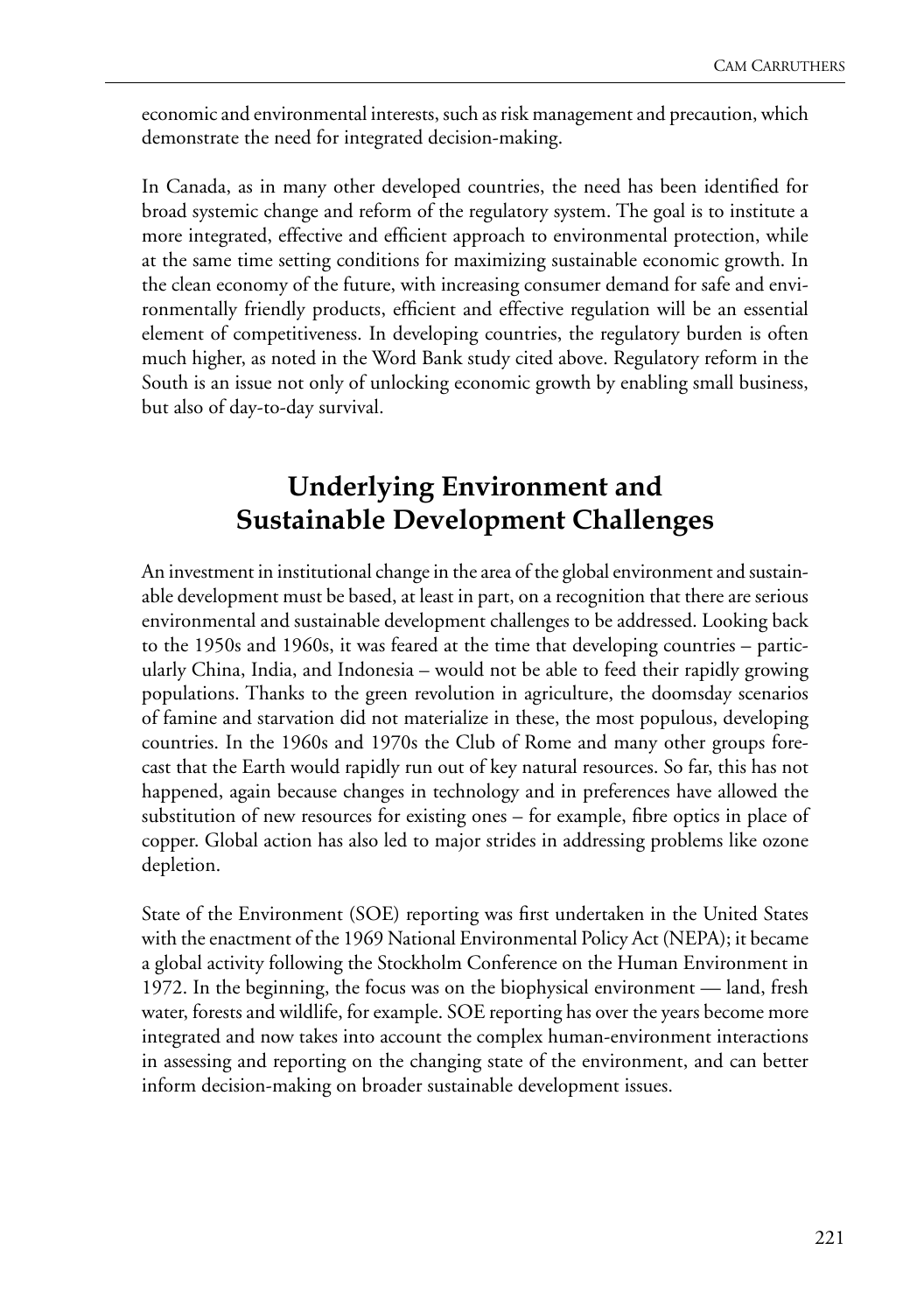economic and environmental interests, such as risk management and precaution, which demonstrate the need for integrated decision-making.

In Canada, as in many other developed countries, the need has been identified for broad systemic change and reform of the regulatory system. The goal is to institute a more integrated, effective and efficient approach to environmental protection, while at the same time setting conditions for maximizing sustainable economic growth. In the clean economy of the future, with increasing consumer demand for safe and environmentally friendly products, efficient and effective regulation will be an essential element of competitiveness. In developing countries, the regulatory burden is often much higher, as noted in the Word Bank study cited above. Regulatory reform in the South is an issue not only of unlocking economic growth by enabling small business, but also of day-to-day survival.

#### **Underlying Environment and Sustainable Development Challenges**

An investment in institutional change in the area of the global environment and sustainable development must be based, at least in part, on a recognition that there are serious environmental and sustainable development challenges to be addressed. Looking back to the 1950s and 1960s, it was feared at the time that developing countries – particularly China, India, and Indonesia – would not be able to feed their rapidly growing populations. Thanks to the green revolution in agriculture, the doomsday scenarios of famine and starvation did not materialize in these, the most populous, developing countries. In the 1960s and 1970s the Club of Rome and many other groups forecast that the Earth would rapidly run out of key natural resources. So far, this has not happened, again because changes in technology and in preferences have allowed the substitution of new resources for existing ones – for example, fibre optics in place of copper. Global action has also led to major strides in addressing problems like ozone depletion.

State of the Environment (SOE) reporting was first undertaken in the United States with the enactment of the 1969 National Environmental Policy Act (NEPA); it became a global activity following the Stockholm Conference on the Human Environment in 1972. In the beginning, the focus was on the biophysical environment — land, fresh water, forests and wildlife, for example. SOE reporting has over the years become more integrated and now takes into account the complex human-environment interactions in assessing and reporting on the changing state of the environment, and can better inform decision-making on broader sustainable development issues.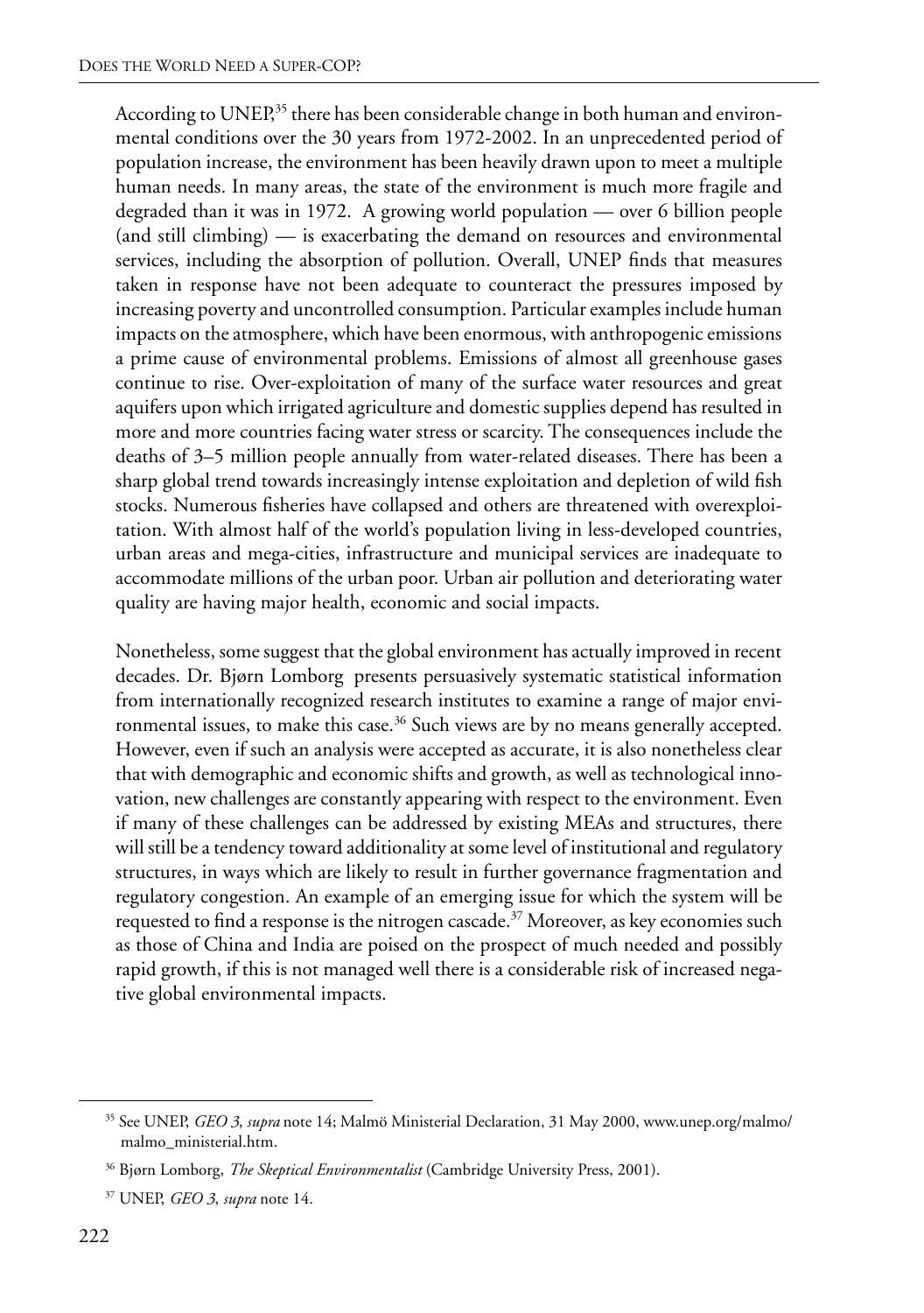According to UNEP,<sup>35</sup> there has been considerable change in both human and environmental conditions over the 30 years from 1972-2002. In an unprecedented period of population increase, the environment has been heavily drawn upon to meet a multiple human needs. In many areas, the state of the environment is much more fragile and degraded than it was in 1972. A growing world population — over 6 billion people (and still climbing) — is exacerbating the demand on resources and environmental services, including the absorption of pollution. Overall, UNEP finds that measures taken in response have not been adequate to counteract the pressures imposed by increasing poverty and uncontrolled consumption. Particular examples include human impacts on the atmosphere, which have been enormous, with anthropogenic emissions a prime cause of environmental problems. Emissions of almost all greenhouse gases continue to rise. Over-exploitation of many of the surface water resources and great aquifers upon which irrigated agriculture and domestic supplies depend has resulted in more and more countries facing water stress or scarcity. The consequences include the deaths of 3–5 million people annually from water-related diseases. There has been a sharp global trend towards increasingly intense exploitation and depletion of wild fish stocks. Numerous fisheries have collapsed and others are threatened with overexploitation. With almost half of the world's population living in less-developed countries, urban areas and mega-cities, infrastructure and municipal services are inadequate to accommodate millions of the urban poor. Urban air pollution and deteriorating water quality are having major health, economic and social impacts.

Nonetheless, some suggest that the global environment has actually improved in recent decades. Dr. Bjørn Lomborg presents persuasively systematic statistical information from internationally recognized research institutes to examine a range of major environmental issues, to make this case.<sup>36</sup> Such views are by no means generally accepted. However, even if such an analysis were accepted as accurate, it is also nonetheless clear that with demographic and economic shifts and growth, as well as technological innovation, new challenges are constantly appearing with respect to the environment. Even if many of these challenges can be addressed by existing MEAs and structures, there will still be a tendency toward additionality at some level of institutional and regulatory structures, in ways which are likely to result in further governance fragmentation and regulatory congestion. An example of an emerging issue for which the system will be requested to find a response is the nitrogen cascade.<sup>37</sup> Moreover, as key economies such as those of China and India are poised on the prospect of much needed and possibly rapid growth, if this is not managed well there is a considerable risk of increased negative global environmental impacts.

<sup>35</sup> See UNEP, *GEO 3*, *supra* note 14; Malmö Ministerial Declaration, 31 May 2000, www.unep.org/malmo/ malmo\_ministerial.htm.

<sup>36</sup> Bjørn Lomborg, *The Skeptical Environmentalist* (Cambridge University Press, 2001).

<sup>37</sup> UNEP, *GEO 3*, *supra* note 14.